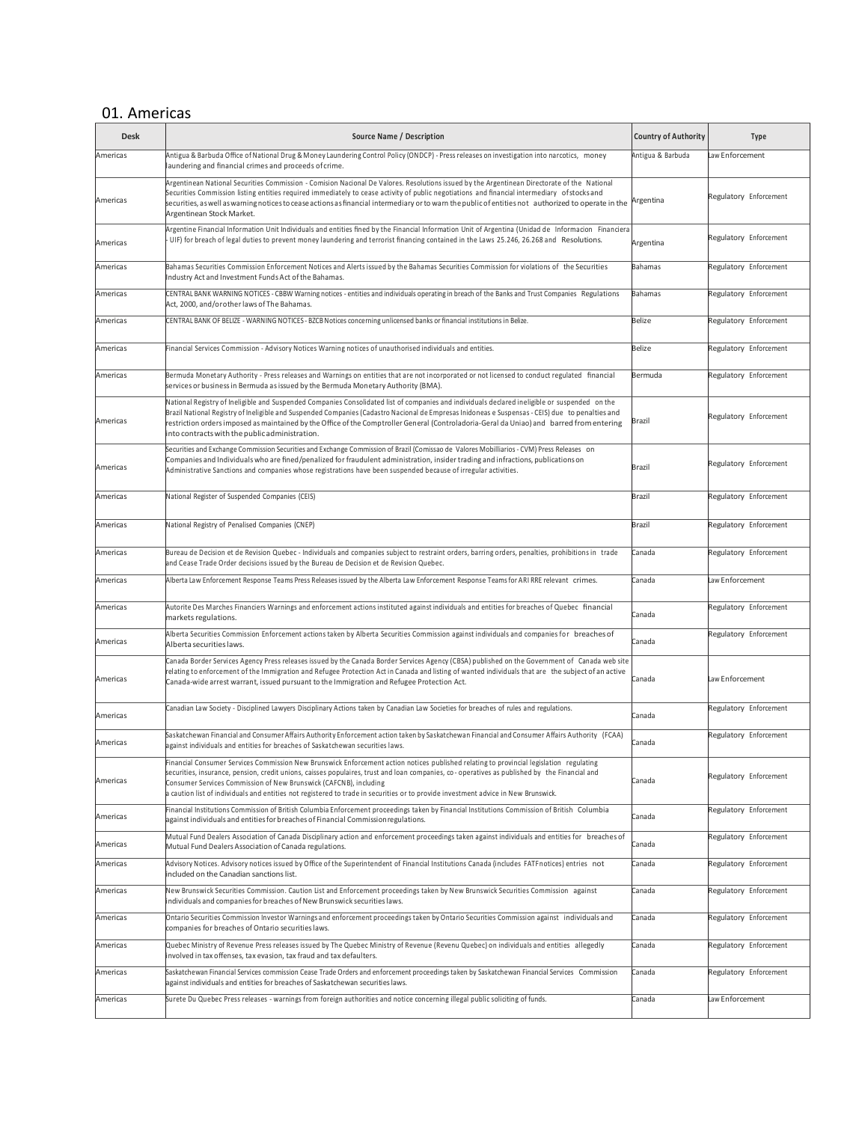# 01. Americas

| <b>Desk</b> | Source Name / Description<br><b>Country of Authority</b>                                                                                                                                                                                                                                                                                                                                                                                                                                           |                           | <b>Type</b>            |
|-------------|----------------------------------------------------------------------------------------------------------------------------------------------------------------------------------------------------------------------------------------------------------------------------------------------------------------------------------------------------------------------------------------------------------------------------------------------------------------------------------------------------|---------------------------|------------------------|
| Americas    | Antigua & Barbuda Office of National Drug & Money Laundering Control Policy (ONDCP) - Press releases on investigation into narcotics, money<br>laundering and financial crimes and proceeds of crime.                                                                                                                                                                                                                                                                                              | Antigua & Barbuda         | Law Enforcement        |
| Americas    | Argentinean National Securities Commission - Comision Nacional De Valores. Resolutions issued by the Argentinean Directorate of the National<br>Securities Commission listing entities required immediately to cease activity of public negotiations and financial intermediary of stocks and<br>securities, as well as warning notices to cease actions as financial intermediary or to warn the public of entities not authorized to operate in the<br>Argentinean Stock Market.                 | Argentina                 | Regulatory Enforcement |
| Americas    | Argentine Financial Information Unit Individuals and entities fined by the Financial Information Unit of Argentina (Unidad de Informacion Financiera<br>UIF) for breach of legal duties to prevent money laundering and terrorist financing contained in the Laws 25.246, 26.268 and Resolutions.<br>Argentina                                                                                                                                                                                     |                           | Regulatory Enforcement |
| Americas    | Bahamas Securities Commission Enforcement Notices and Alerts issued by the Bahamas Securities Commission for violations of the Securities<br>Bahamas<br>Industry Act and Investment Funds Act of the Bahamas.                                                                                                                                                                                                                                                                                      |                           | Regulatory Enforcement |
| Americas    | CENTRAL BANK WARNING NOTICES - CBBW Warning notices - entities and individuals operating in breach of the Banks and Trust Companies Regulations<br>Act, 2000, and/orother laws of The Bahamas.                                                                                                                                                                                                                                                                                                     | <b>Bahamas</b>            | Regulatory Enforcement |
| Americas    | CENTRAL BANK OF BELIZE - WARNING NOTICES - BZCB Notices concerning unlicensed banks or financial institutions in Belize.                                                                                                                                                                                                                                                                                                                                                                           | Belize                    | Regulatory Enforcement |
| Americas    | Financial Services Commission - Advisory Notices Warning notices of unauthorised individuals and entities.                                                                                                                                                                                                                                                                                                                                                                                         | <b>Belize</b>             | Regulatory Enforcement |
| Americas    | Bermuda Monetary Authority - Press releases and Warnings on entities that are not incorporated or not licensed to conduct regulated financial<br>services or business in Bermuda as issued by the Bermuda Monetary Authority (BMA).                                                                                                                                                                                                                                                                | Bermuda                   | Regulatory Enforcement |
| Americas    | National Registry of Ineligible and Suspended Companies Consolidated list of companies and individuals declared ineligible or suspended on the<br>Brazil National Registry of Ineligible and Suspended Companies (Cadastro Nacional de Empresas Inidoneas e Suspensas - CEIS) due to penalties and<br>restriction orders imposed as maintained by the Office of the Comptroller General (Controladoria-Geral da Uniao) and barred from entering<br>into contracts with the public administration.  | Brazil                    | Regulatory Enforcement |
| Americas    | Securities and Exchange Commission Securities and Exchange Commission of Brazil (Comissao de Valores Mobilliarios - CVM) Press Releases on<br>Companies and Individuals who are fined/penalized for fraudulent administration, insider trading and infractions, publications on<br>Administrative Sanctions and companies whose registrations have been suspended because of irregular activities.                                                                                                 | Brazil                    | Regulatory Enforcement |
| Americas    | National Register of Suspended Companies (CEIS)                                                                                                                                                                                                                                                                                                                                                                                                                                                    | <b>Brazil</b>             | Regulatory Enforcement |
| Americas    | National Registry of Penalised Companies (CNEP)<br>Brazil                                                                                                                                                                                                                                                                                                                                                                                                                                          |                           | Regulatory Enforcement |
| Americas    | Bureau de Decision et de Revision Quebec - Individuals and companies subject to restraint orders, barring orders, penalties, prohibitions in trade<br>Canada<br>and Cease Trade Order decisions issued by the Bureau de Decision et de Revision Quebec.                                                                                                                                                                                                                                            |                           | Regulatory Enforcement |
| Americas    | Alberta Law Enforcement Response Teams Press Releases issued by the Alberta Law Enforcement Response Teams for ARI RRE relevant crimes.<br>Canada                                                                                                                                                                                                                                                                                                                                                  |                           | Law Enforcement        |
| Americas    | Autorite Des Marches Financiers Warnings and enforcement actions instituted against individuals and entities for breaches of Quebec financial<br>markets regulations.                                                                                                                                                                                                                                                                                                                              | Canada                    | Regulatory Enforcement |
| Americas    | Alberta Securities Commission Enforcement actions taken by Alberta Securities Commission against individuals and companies for breaches of<br>Canada<br>Alberta securities laws.                                                                                                                                                                                                                                                                                                                   |                           | Regulatory Enforcement |
| Americas    | Canada Border Services Agency Press releases issued by the Canada Border Services Agency (CBSA) published on the Government of Canada web site<br>relating to enforcement of the Immigration and Refugee Protection Act in Canada and listing of wanted individuals that are the subject of an active<br>Canada-wide arrest warrant, issued pursuant to the Immigration and Refugee Protection Act.                                                                                                | Law Enforcement<br>Canada |                        |
| Americas    | Canadian Law Society - Disciplined Lawyers Disciplinary Actions taken by Canadian Law Societies for breaches of rules and regulations.                                                                                                                                                                                                                                                                                                                                                             | Canada                    | Regulatory Enforcement |
| Americas    | [FAA] Saskatchewan Financial and Consumer Affairs Authority Enforcement action taken by Saskatchewan Financial and Consumer Affairs Authority<br>against individuals and entities for breaches of Saskatchewan securities laws.                                                                                                                                                                                                                                                                    | Canada                    | Regulatory Enforcement |
| Americas    | Financial Consumer Services Commission New Brunswick Enforcement action notices published relating to provincial legislation regulating<br>securities, insurance, pension, credit unions, caisses populaires, trust and loan companies, co-operatives as published by the Financial and<br>Consumer Services Commission of New Brunswick (CAFCNB), including<br>a caution list of individuals and entities not registered to trade in securities or to provide investment advice in New Brunswick. |                           | Regulatory Enforcement |
| Americas    | Financial Institutions Commission of British Columbia Enforcement proceedings taken by Financial Institutions Commission of British Columbia<br>against individuals and entities for breaches of Financial Commission regulations.                                                                                                                                                                                                                                                                 | Canada                    | Regulatory Enforcement |
| Americas    | Mutual Fund Dealers Association of Canada Disciplinary action and enforcement proceedings taken against individuals and entities for breaches of<br>Mutual Fund Dealers Association of Canada regulations.                                                                                                                                                                                                                                                                                         | Canada                    | Regulatory Enforcement |
| Americas    | Advisory Notices. Advisory notices issued by Office of the Superintendent of Financial Institutions Canada (includes FATF notices) entries not<br>included on the Canadian sanctions list.                                                                                                                                                                                                                                                                                                         | Canada                    | Regulatory Enforcement |
| Americas    | New Brunswick Securities Commission. Caution List and Enforcement proceedings taken by New Brunswick Securities Commission against<br>individuals and companies for breaches of New Brunswick securities laws.                                                                                                                                                                                                                                                                                     | Canada                    | Regulatory Enforcement |
| Americas    | Ontario Securities Commission Investor Warnings and enforcement proceedings taken by Ontario Securities Commission against individuals and<br>companies for breaches of Ontario securities laws.                                                                                                                                                                                                                                                                                                   | Canada                    | Regulatory Enforcement |
| Americas    | Quebec Ministry of Revenue Press releases issued by The Quebec Ministry of Revenue (Revenu Quebec) on individuals and entities allegedly<br>involved in tax offenses, tax evasion, tax fraud and tax defaulters.                                                                                                                                                                                                                                                                                   | Canada                    | Regulatory Enforcement |
| Americas    | Saskatchewan Financial Services commission Cease Trade Orders and enforcement proceedings taken by Saskatchewan Financial Services Commission<br>against individuals and entities for breaches of Saskatchewan securities laws.                                                                                                                                                                                                                                                                    | Canada                    | Regulatory Enforcement |
| Americas    | Surete Du Quebec Press releases - warnings from foreign authorities and notice concerning illegal public soliciting of funds.<br>Canada                                                                                                                                                                                                                                                                                                                                                            |                           | Law Enforcement        |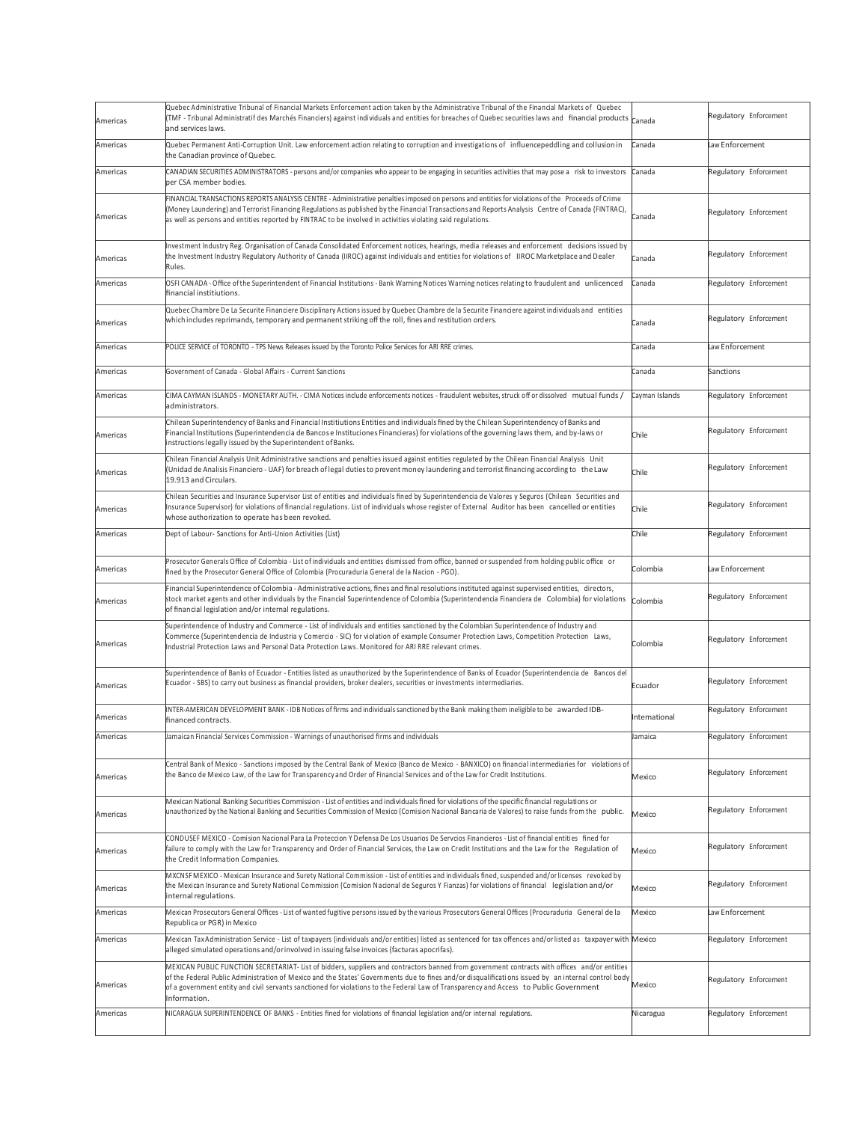| Americas | Quebec Administrative Tribunal of Financial Markets Enforcement action taken by the Administrative Tribunal of the Financial Markets of Quebec<br>TMF - Tribunal Administratif des Marchés Financiers) against individuals and entities for breaches of Quebec securities laws and financial products<br>Canada<br>and services laws.                                                                                                                                    |                | Regulatory Enforcement |
|----------|--------------------------------------------------------------------------------------------------------------------------------------------------------------------------------------------------------------------------------------------------------------------------------------------------------------------------------------------------------------------------------------------------------------------------------------------------------------------------|----------------|------------------------|
| Americas | Quebec Permanent Anti-Corruption Unit. Law enforcement action relating to corruption and investigations of influencepeddling and collusion in<br>Canada<br>the Canadian province of Quebec.                                                                                                                                                                                                                                                                              |                | Law Enforcement        |
| Americas | CANADIAN SECURITIES ADMINISTRATORS - persons and/or companies who appear to be engaging in securities activities that may pose a risk to investors<br>per CSA member bodies.                                                                                                                                                                                                                                                                                             | Canada         | Regulatory Enforcement |
| Americas | FINANCIAL TRANSACTIONS REPORTS ANALYSIS CENTRE - Administrative penalties imposed on persons and entities for violations of the Proceeds of Crime<br>(Money Laundering) and Terrorist Financing Regulations as published by the Financial Transactions and Reports Analysis Centre of Canada (FINTRAC),<br>Canada<br>as well as persons and entities reported by FINTRAC to be involved in activities violating said regulations.                                        |                | Regulatory Enforcement |
| Americas | Investment Industry Reg. Organisation of Canada Consolidated Enforcement notices, hearings, media releases and enforcement decisions issued by<br>the Investment Industry Regulatory Authority of Canada (IIROC) against individuals and entities for violations of IIROC Marketplace and Dealer<br>Canada<br>Rules.                                                                                                                                                     |                | Regulatory Enforcement |
| Americas | OSFI CANADA - Office of the Superintendent of Financial Institutions - Bank Warning Notices Warning notices relating to fraudulent and unlicenced<br>financial institiutions.                                                                                                                                                                                                                                                                                            | Canada         | Regulatory Enforcement |
| Americas | Quebec Chambre De La Securite Financiere Disciplinary Actions issued by Quebec Chambre de la Securite Financiere against individuals and entities<br>which includes reprimands, temporary and permanent striking off the roll, fines and restitution orders.                                                                                                                                                                                                             | Canada         | Regulatory Enforcement |
| Americas | POLICE SERVICE of TORONTO - TPS News Releases issued by the Toronto Police Services for ARI RRE crimes.                                                                                                                                                                                                                                                                                                                                                                  | Canada         | Law Enforcement        |
| Americas | Government of Canada - Global Affairs - Current Sanctions                                                                                                                                                                                                                                                                                                                                                                                                                | Canada         | Sanctions              |
| Americas | / CIMA CAYMAN ISLANDS - MONETARY AUTH. - CIMA Notices include enforcements notices - fraudulent websites, struck off or dissolved mutual funds (<br>administrators.                                                                                                                                                                                                                                                                                                      | Cayman Islands | Regulatory Enforcement |
| Americas | Chilean Superintendency of Banks and Financial Institiutions Entities and individuals fined by the Chilean Superintendency of Banks and<br>Financial Institutions (Superintendencia de Bancos e Instituciones Financieras) for violations of the governing laws them, and by-laws or<br>instructions legally issued by the Superintendent of Banks.                                                                                                                      | Chile          | Regulatory Enforcement |
| Americas | Chilean Financial Analysis Unit Administrative sanctions and penalties issued against entities regulated by the Chilean Financial Analysis Unit<br>(Unidad de Analisis Financiero - UAF) for breach of legal duties to prevent money laundering and terrorist financing according to the Law<br>19.913 and Circulars.                                                                                                                                                    |                | Regulatory Enforcement |
| Americas | Chilean Securities and Insurance Supervisor List of entities and individuals fined by Superintendencia de Valores y Seguros (Chilean Securities and<br>Insurance Supervisor) for violations of financial regulations. List of individuals whose register of External Auditor has been cancelled or entities<br>whose authorization to operate has been revoked.                                                                                                          | Chile          | Regulatory Enforcement |
| Americas | Chile<br>Dept of Labour- Sanctions for Anti-Union Activities (List)                                                                                                                                                                                                                                                                                                                                                                                                      |                | Regulatory Enforcement |
| Americas | Prosecutor Generals Office of Colombia - List of individuals and entities dismissed from office, banned or suspended from holding public office or<br>fined by the Prosecutor General Office of Colombia (Procuraduria General de la Nacion - PGO).                                                                                                                                                                                                                      | Colombia       | Law Enforcement        |
| Americas | Financial Superintendence of Colombia - Administrative actions, fines and final resolutions instituted against supervised entities, directors,<br>stock market agents and other individuals by the Financial Superintendence of Colombia (Superintendencia Financiera de Colombia) for violations<br>Colombia<br>of financial legislation and/or internal regulations.                                                                                                   |                | Regulatory Enforcement |
| Americas | Superintendence of Industry and Commerce - List of individuals and entities sanctioned by the Colombian Superintendence of Industry and<br>Commerce (Superintendencia de Industria y Comercio - SIC) for violation of example Consumer Protection Laws, Competition Protection Laws,<br>Colombia<br>ndustrial Protection Laws and Personal Data Protection Laws. Monitored for ARI RRE relevant crimes.                                                                  |                | Regulatory Enforcement |
| Americas | Superintendence of Banks of Ecuador - Entities listed as unauthorized by the Superintendence of Banks of Ecuador (Superintendencia de Bancos del<br>Ecuador - SBS) to carry out business as financial providers, broker dealers, securities or investments intermediaries.                                                                                                                                                                                               | Ecuador        | Regulatory Enforcement |
| Americas | INTER-AMERICAN DEVELOPMENT BANK - IDB Notices of firms and individuals sanctioned by the Bank making them ineligible to be awarded IDB-<br>financed contracts.                                                                                                                                                                                                                                                                                                           | International  | Regulatory Enforcement |
| Americas | Jamaican Financial Services Commission - Warnings of unauthorised firms and individuals                                                                                                                                                                                                                                                                                                                                                                                  | amaica         | Regulatory Enforcement |
| Americas | Central Bank of Mexico - Sanctions imposed by the Central Bank of Mexico (Banco de Mexico - BANXICO) on financial intermediaries for violations of<br>the Banco de Mexico Law, of the Law for Transparency and Order of Financial Services and of the Law for Credit Institutions.                                                                                                                                                                                       | Mexico         | Regulatory Enforcement |
| Americas | Mexican National Banking Securities Commission - List of entities and individuals fined for violations of the specific financial regulations or<br>unauthorized by the National Banking and Securities Commission of Mexico (Comision Nacional Bancaria de Valores) to raise funds from the public.                                                                                                                                                                      | Mexico         | Regulatory Enforcement |
| Americas | CONDUSEF MEXICO - Comision Nacional Para La Proteccion Y Defensa De Los Usuarios De Servcios Financieros - List of financial entities fined for<br>failure to comply with the Law for Transparency and Order of Financial Services, the Law on Credit Institutions and the Law for the Regulation of<br>the Credit Information Companies.                                                                                                                                | Mexico         | Regulatory Enforcement |
| Americas | MXCNSFMEXICO - Mexican Insurance and Surety National Commission - List of entities and individuals fined, suspended and/or licenses revoked by<br>the Mexican Insurance and Surety National Commission (Comision Nacional de Seguros Y Fianzas) for violations of financial legislation and/or<br>internal regulations.                                                                                                                                                  |                | Regulatory Enforcement |
| Americas | Mexican Prosecutors General Offices - List of wanted fugitive persons issued by the various Prosecutors General Offices (Procuraduria General de la<br>Republica or PGR) in Mexico                                                                                                                                                                                                                                                                                       | Mexico         | Law Enforcement        |
| Americas | Mexican TaxAdministration Service - List of taxpayers (individuals and/or entities) listed as sentenced for tax offences and/or listed as taxpayer with Mexico<br>alleged simulated operations and/orinvolved in issuing false invoices (facturas apocrifas).                                                                                                                                                                                                            |                | Regulatory Enforcement |
| Americas | MEXICAN PUBLIC FUNCTION SECRETARIAT- List of bidders, suppliers and contractors banned from government contracts with offices and/or entities<br>of the Federal Public Administration of Mexico and the States' Governments due to fines and/or disqualifications issued by an internal control body<br>Mexico<br>of a government entity and civil servants sanctioned for violations to the Federal Law of Transparency and Access to Public Government<br>Information. |                | Regulatory Enforcement |
| Americas | NICARAGUA SUPERINTENDENCE OF BANKS - Entities fined for violations of financial legislation and/or internal regulations.                                                                                                                                                                                                                                                                                                                                                 | Nicaragua      | Regulatory Enforcement |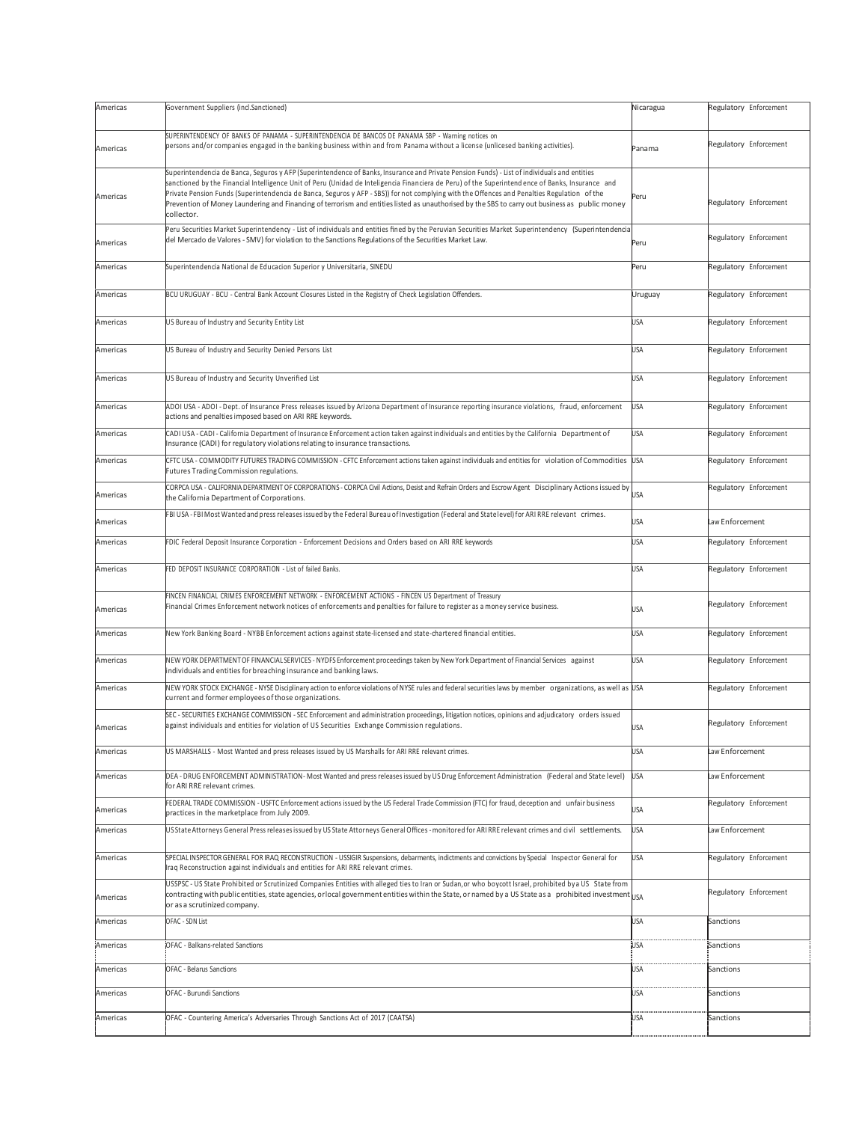| Americas | Government Suppliers (incl.Sanctioned)<br>Nicaragua                                                                                                                                                                                                                                                                                                                                                                                                                                                                                                                                                                     |            | Regulatory Enforcement |
|----------|-------------------------------------------------------------------------------------------------------------------------------------------------------------------------------------------------------------------------------------------------------------------------------------------------------------------------------------------------------------------------------------------------------------------------------------------------------------------------------------------------------------------------------------------------------------------------------------------------------------------------|------------|------------------------|
| Americas | SUPERINTENDENCY OF BANKS OF PANAMA - SUPERINTENDENCIA DE BANCOS DE PANAMA SBP - Warning notices on<br>persons and/or companies engaged in the banking business within and from Panama without a license (unlicesed banking activities).<br>Panama                                                                                                                                                                                                                                                                                                                                                                       |            | Regulatory Enforcement |
| Americas | Superintendencia de Banca, Seguros y AFP (Superintendence of Banks, Insurance and Private Pension Funds) - List of individuals and entities<br>sanctioned by the Financial Intelligence Unit of Peru (Unidad de Inteligencia Financiera de Peru) of the Superintend ence of Banks, Insurance and<br>Private Pension Funds (Superintendencia de Banca, Seguros y AFP - SBS)) for not complying with the Offences and Penalties Regulation of the<br>Peru<br>Prevention of Money Laundering and Financing of terrorism and entities listed as unauthorised by the SBS to carry out business as public money<br>collector. |            | Regulatory Enforcement |
| Americas | Peru Securities Market Superintendency - List of individuals and entities fined by the Peruvian Securities Market Superintendency (Superintendencia<br>del Mercado de Valores - SMV) for violation to the Sanctions Regulations of the Securities Market Law.<br>Peru                                                                                                                                                                                                                                                                                                                                                   |            | Regulatory Enforcement |
| Americas | Superintendencia National de Educacion Superior y Universitaria, SINEDU                                                                                                                                                                                                                                                                                                                                                                                                                                                                                                                                                 | Peru       | Regulatory Enforcement |
| Americas | BCU URUGUAY - BCU - Central Bank Account Closures Listed in the Registry of Check Legislation Offenders.                                                                                                                                                                                                                                                                                                                                                                                                                                                                                                                | Uruguay    | Regulatory Enforcement |
| Americas | US Bureau of Industry and Security Entity List                                                                                                                                                                                                                                                                                                                                                                                                                                                                                                                                                                          | <b>USA</b> | Regulatory Enforcement |
| Americas | US Bureau of Industry and Security Denied Persons List                                                                                                                                                                                                                                                                                                                                                                                                                                                                                                                                                                  | <b>USA</b> | Regulatory Enforcement |
| Americas | US Bureau of Industry and Security Unverified List                                                                                                                                                                                                                                                                                                                                                                                                                                                                                                                                                                      | <b>USA</b> | Regulatory Enforcement |
| Americas | ADOI USA - ADOI - Dept. of Insurance Press releases issued by Arizona Department of Insurance reporting insurance violations, fraud, enforcement<br>actions and penalties imposed based on ARI RRE keywords.                                                                                                                                                                                                                                                                                                                                                                                                            | <b>USA</b> | Regulatory Enforcement |
| Americas | CADI USA - CADI - California Department of Insurance Enforcement action taken against individuals and entities by the California Department of<br>Insurance (CADI) for regulatory violations relating to insurance transactions.                                                                                                                                                                                                                                                                                                                                                                                        | <b>USA</b> | Regulatory Enforcement |
| Americas | CFTC USA - COMMODITY FUTURES TRADING COMMISSION - CFTC Enforcement actions taken against individuals and entities for violation of Commodities USA<br>Futures Trading Commission regulations.                                                                                                                                                                                                                                                                                                                                                                                                                           |            | Regulatory Enforcement |
| Americas | CORPCA USA - CALIFORNIA DEPARTMENT OF CORPORATIONS - CORPCA Civil Actions, Desist and Refrain Orders and Escrow Agent Disciplinary Actions issued by<br>the California Department of Corporations.                                                                                                                                                                                                                                                                                                                                                                                                                      | USA        | Regulatory Enforcement |
| Americas | FBI USA-FBI Most Wanted and press releases issued by the Federal Bureau of Investigation (Federal and Statelevel) for ARI RRE relevant crimes.<br>USA                                                                                                                                                                                                                                                                                                                                                                                                                                                                   |            | Law Enforcement        |
| Americas | FDIC Federal Deposit Insurance Corporation - Enforcement Decisions and Orders based on ARI RRE keywords                                                                                                                                                                                                                                                                                                                                                                                                                                                                                                                 | <b>USA</b> | Regulatory Enforcement |
| Americas | FED DEPOSIT INSURANCE CORPORATION - List of failed Banks.<br><b>USA</b>                                                                                                                                                                                                                                                                                                                                                                                                                                                                                                                                                 |            | Regulatory Enforcement |
| Americas | FINCEN FINANCIAL CRIMES ENFORCEMENT NETWORK - ENFORCEMENT ACTIONS - FINCEN US Department of Treasury<br>Financial Crimes Enforcement network notices of enforcements and penalties for failure to register as a money service business.<br><b>USA</b>                                                                                                                                                                                                                                                                                                                                                                   |            | Regulatory Enforcement |
| Americas | New York Banking Board - NYBB Enforcement actions against state-licensed and state-chartered financial entities.                                                                                                                                                                                                                                                                                                                                                                                                                                                                                                        | <b>USA</b> | Regulatory Enforcement |
| Americas | NEW YORK DEPARTMENT OF FINANCIAL SERVICES - NYDFS Enforcement proceedings taken by New York Department of Financial Services against<br>individuals and entities for breaching insurance and banking laws.                                                                                                                                                                                                                                                                                                                                                                                                              | <b>USA</b> | Regulatory Enforcement |
| Americas | NEW YORK STOCK EXCHANGE - NYSE Disciplinary action to enforce violations of NYSE rules and federal securities laws by member organizations, as well as USA<br>current and former employees of those organizations.                                                                                                                                                                                                                                                                                                                                                                                                      |            | Regulatory Enforcement |
| Americas | SEC - SECURITIES EXCHANGE COMMISSION - SEC Enforcement and administration proceedings, litigation notices, opinions and adjudicatory orders issued<br>against individuals and entities for violation of US Securities Exchange Commission regulations.                                                                                                                                                                                                                                                                                                                                                                  | <b>USA</b> | Regulatory Enforcement |
| Americas | US MARSHALLS - Most Wanted and press releases issued by US Marshalls for ARI RRE relevant crimes.                                                                                                                                                                                                                                                                                                                                                                                                                                                                                                                       | <b>USA</b> | Law Enforcement        |
| Americas | DEA - DRUG ENFORCEMENT ADMINISTRATION- Most Wanted and press releases issued by US Drug Enforcement Administration (Federal and State level)<br>for ARI RRE relevant crimes.                                                                                                                                                                                                                                                                                                                                                                                                                                            | <b>USA</b> | Law Enforcement        |
| Americas | FEDERAL TRADE COMMISSION - USFTC Enforcement actions issued by the US Federal Trade Commission (FTC) for fraud, deception and unfair business<br>practices in the marketplace from July 2009.                                                                                                                                                                                                                                                                                                                                                                                                                           | USA        | Regulatory Enforcement |
| Americas | USState Attorneys General Press releases issued by US State Attorneys General Offices - monitored for ARIRRE relevant crimes and civil settlements.                                                                                                                                                                                                                                                                                                                                                                                                                                                                     | <b>USA</b> | Law Enforcement        |
| Americas | SPECIALINSPECTOR GENERAL FOR IRAQ RECONSTRUCTION - USSIGIR Suspensions, debarments, indictments and convictions by Special Inspector General for<br>Iraq Reconstruction against individuals and entities for ARI RRE relevant crimes.                                                                                                                                                                                                                                                                                                                                                                                   | <b>USA</b> | Regulatory Enforcement |
| Americas | USSPSC - US State Prohibited or Scrutinized Companies Entities with alleged ties to Iran or Sudan, or who boycott Israel, prohibited by a US State from<br>contracting with public entities, state agencies, orlocal government entities within the State, or named by a US State as a prohibited investment $ {}_{150}$<br>or as a scrutinized company.                                                                                                                                                                                                                                                                |            | Regulatory Enforcement |
| Americas | OFAC - SDN List                                                                                                                                                                                                                                                                                                                                                                                                                                                                                                                                                                                                         | USA        | Sanctions              |
| Americas | OFAC - Balkans-related Sanctions                                                                                                                                                                                                                                                                                                                                                                                                                                                                                                                                                                                        | USA.       | Sanctions              |
| Americas | OFAC - Belarus Sanctions                                                                                                                                                                                                                                                                                                                                                                                                                                                                                                                                                                                                | JSA        | Sanctions              |
| Americas | OFAC - Burundi Sanctions                                                                                                                                                                                                                                                                                                                                                                                                                                                                                                                                                                                                | JSA        | Sanctions              |
| Americas | OFAC - Countering America's Adversaries Through Sanctions Act of 2017 (CAATSA)                                                                                                                                                                                                                                                                                                                                                                                                                                                                                                                                          |            | Sanctions              |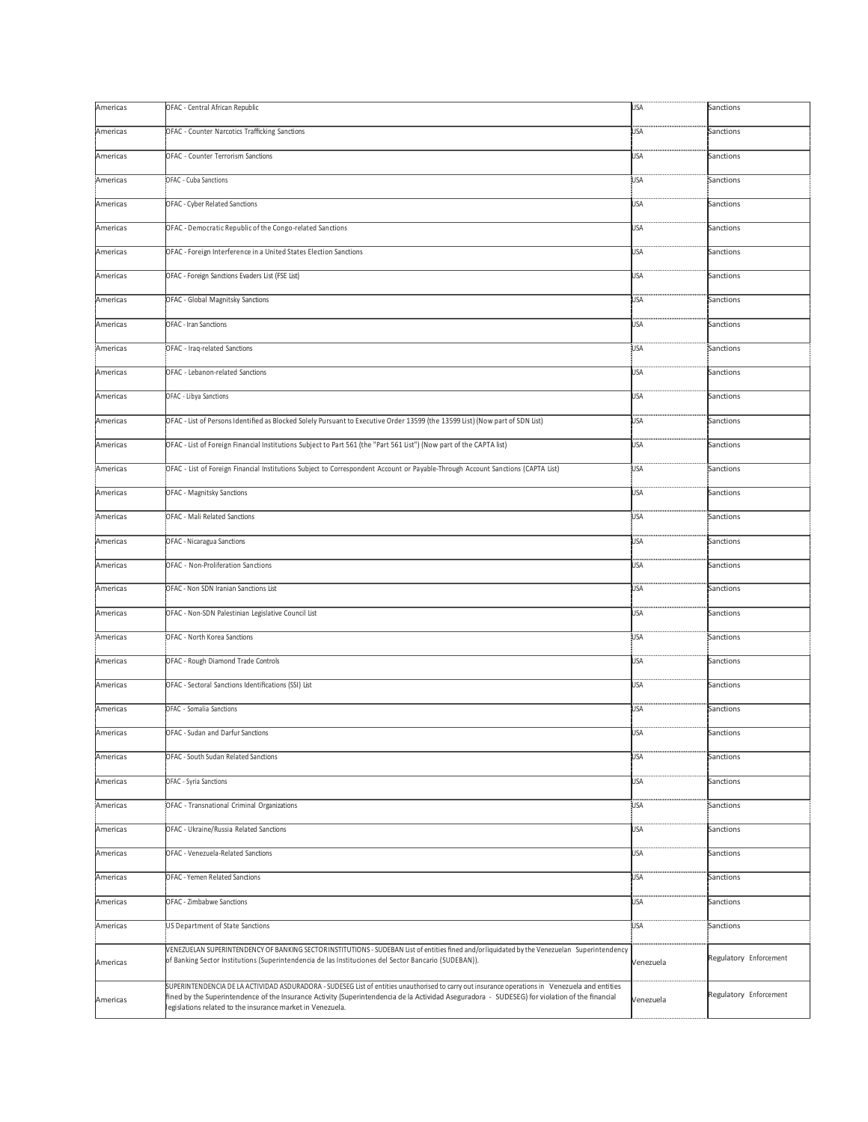| Americas | OFAC - Central African Republic                                                                                                                                                                                                                                                                                                                                 | USA        | Sanctions              |
|----------|-----------------------------------------------------------------------------------------------------------------------------------------------------------------------------------------------------------------------------------------------------------------------------------------------------------------------------------------------------------------|------------|------------------------|
| Americas | OFAC - Counter Narcotics Trafficking Sanctions                                                                                                                                                                                                                                                                                                                  | USA        | Sanctions              |
| Americas | OFAC - Counter Terrorism Sanctions                                                                                                                                                                                                                                                                                                                              | <b>USA</b> | Sanctions              |
| Americas | OFAC - Cuba Sanctions                                                                                                                                                                                                                                                                                                                                           | USA        | Sanctions              |
| Americas | OFAC - Cyber Related Sanctions                                                                                                                                                                                                                                                                                                                                  | <b>USA</b> | Sanctions              |
| Americas | OFAC - Democratic Republic of the Congo-related Sanctions                                                                                                                                                                                                                                                                                                       | USA        | Sanctions              |
| Americas | OFAC - Foreign Interference in a United States Election Sanctions                                                                                                                                                                                                                                                                                               | USA        | Sanctions              |
| Americas | OFAC - Foreign Sanctions Evaders List (FSE List)                                                                                                                                                                                                                                                                                                                | <b>USA</b> | Sanctions              |
| Americas | OFAC - Global Magnitsky Sanctions                                                                                                                                                                                                                                                                                                                               | USA        | Sanctions              |
| Americas | OFAC - Iran Sanctions                                                                                                                                                                                                                                                                                                                                           | USA        | Sanctions              |
| Americas | OFAC - Iraq-related Sanctions                                                                                                                                                                                                                                                                                                                                   | USA.       | Sanctions              |
| Americas | OFAC - Lebanon-related Sanctions                                                                                                                                                                                                                                                                                                                                | USA        | Sanctions              |
| Americas | OFAC - Libya Sanctions                                                                                                                                                                                                                                                                                                                                          | USA        | Sanctions              |
| Americas | OFAC - List of Persons Identified as Blocked Solely Pursuant to Executive Order 13599 (the 13599 List) (Now part of SDN List)                                                                                                                                                                                                                                   | USA        | Sanctions              |
| Americas | OFAC - List of Foreign Financial Institutions Subject to Part 561 (the "Part 561 List") (Now part of the CAPTA list)                                                                                                                                                                                                                                            | <b>USA</b> | Sanctions              |
| Americas | OFAC - List of Foreign Financial Institutions Subject to Correspondent Account or Payable-Through Account Sanctions (CAPTA List)                                                                                                                                                                                                                                | USA.       | Sanctions              |
| Americas | OFAC - Magnitsky Sanctions                                                                                                                                                                                                                                                                                                                                      | USA        | Sanctions              |
| Americas | OFAC - Mali Related Sanctions                                                                                                                                                                                                                                                                                                                                   | USA.       | Sanctions              |
| Americas | OFAC - Nicaragua Sanctions                                                                                                                                                                                                                                                                                                                                      | USA        | Sanctions              |
| Americas | OFAC - Non-Proliferation Sanctions                                                                                                                                                                                                                                                                                                                              | USA        | Sanctions              |
| Americas | OFAC - Non SDN Iranian Sanctions List                                                                                                                                                                                                                                                                                                                           | USA        | Sanctions              |
| Americas | OFAC - Non-SDN Palestinian Legislative Council List                                                                                                                                                                                                                                                                                                             | USA        | Sanctions              |
| Americas | OFAC - North Korea Sanctions                                                                                                                                                                                                                                                                                                                                    | USA.       | Sanctions              |
| Americas | OFAC - Rough Diamond Trade Controls                                                                                                                                                                                                                                                                                                                             | USA        | Sanctions              |
| Americas | OFAC - Sectoral Sanctions Identifications (SSI) List                                                                                                                                                                                                                                                                                                            | USA        | Sanctions              |
| Americas | OFAC - Somalia Sanctions                                                                                                                                                                                                                                                                                                                                        | USA        | Sanctions              |
| Americas | OFAC - Sudan and Darfur Sanctions                                                                                                                                                                                                                                                                                                                               | USA        | Sanctions              |
| Americas | OFAC - South Sudan Related Sanctions                                                                                                                                                                                                                                                                                                                            | USA        | Sanctions              |
| Americas | OFAC - Syria Sanctions                                                                                                                                                                                                                                                                                                                                          | USA        | Sanctions              |
| Americas | OFAC - Transnational Criminal Organizations                                                                                                                                                                                                                                                                                                                     | USA        | Sanctions              |
| Americas | OFAC - Ukraine/Russia Related Sanctions                                                                                                                                                                                                                                                                                                                         | USA        | Sanctions              |
| Americas | OFAC - Venezuela-Related Sanctions                                                                                                                                                                                                                                                                                                                              | USA        | Sanctions              |
| Americas | OFAC - Yemen Related Sanctions                                                                                                                                                                                                                                                                                                                                  | USA        | Sanctions              |
| Americas | OFAC - Zimbabwe Sanctions                                                                                                                                                                                                                                                                                                                                       | USA        | Sanctions              |
| Americas | US Department of State Sanctions                                                                                                                                                                                                                                                                                                                                | USA.       | Sanctions              |
| Americas | VENEZUELAN SUPERINTENDENCY OF BANKING SECTORINSTITUTIONS - SUDEBAN List of entities fined and/or liquidated by the Venezuelan Superintendency<br>of Banking Sector Institutions (Superintendencia de las Instituciones del Sector Bancario (SUDEBAN)).                                                                                                          | Venezuela  | Regulatory Enforcement |
| Americas | SUPERINTENDENCIA DE LA ACTIVIDAD ASDURADORA - SUDESEG List of entities unauthorised to carry out insurance operations in Venezuela and entities<br>fined by the Superintendence of the Insurance Activity (Superintendencia de la Actividad Aseguradora - SUDESEG) for violation of the financial<br>legislations related to the insurance market in Venezuela. | Venezuela  | Regulatory Enforcement |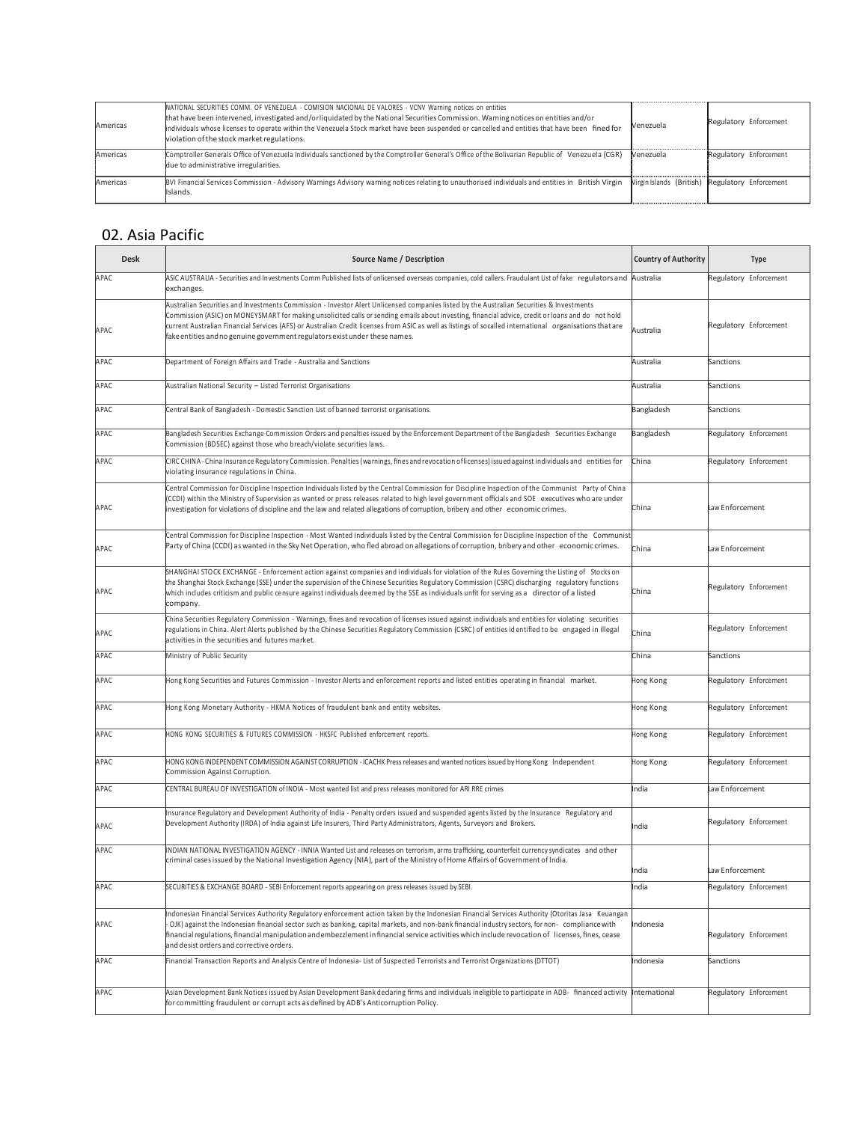| Americas | NATIONAL SECURITIES COMM. OF VENEZUELA - COMISION NACIONAL DE VALORES - VCNV Warning notices on entities<br>that have been intervened, investigated and/orliquidated by the National Securities Commission. Warning notices on entities and/or<br>individuals whose licenses to operate within the Venezuela Stock market have been suspended or cancelled and entities that have been fined for<br>violation of the stock market regulations. | Venezuela | Regulatory Enforcement                          |
|----------|------------------------------------------------------------------------------------------------------------------------------------------------------------------------------------------------------------------------------------------------------------------------------------------------------------------------------------------------------------------------------------------------------------------------------------------------|-----------|-------------------------------------------------|
| Americas | Comptroller Generals Office of Venezuela Individuals sanctioned by the Comptroller General's Office of the Bolivarian Republic of Venezuela (CGR)<br>due to administrative irregularities.                                                                                                                                                                                                                                                     | Venezuela | Regulatory Enforcement                          |
| Americas | BVI Financial Services Commission - Advisory Warnings Advisory warning notices relating to unauthorised individuals and entities in British Virgin<br>Islands.                                                                                                                                                                                                                                                                                 |           | Virgin Islands (British) Regulatory Enforcement |

#### 02. Asia Pacific

| <b>Desk</b> | <b>Country of Authority</b><br>Source Name / Description                                                                                                                                                                                                                                                                                                                                                                                                                                                                                              |               | <b>Type</b>            |
|-------------|-------------------------------------------------------------------------------------------------------------------------------------------------------------------------------------------------------------------------------------------------------------------------------------------------------------------------------------------------------------------------------------------------------------------------------------------------------------------------------------------------------------------------------------------------------|---------------|------------------------|
| APAC        | ASIC AUSTRALIA - Securities and Investments Comm Published lists of unlicensed overseas companies, cold callers. Fraudulant List of fake regulators and Australia<br>exchanges.                                                                                                                                                                                                                                                                                                                                                                       |               | Regulatory Enforcement |
| APAC        | Australian Securities and Investments Commission - Investor Alert Unlicensed companies listed by the Australian Securities & Investments<br>Commission (ASIC) on MONEYSMART for making unsolicited calls or sending emails about investing, financial advice, credit or loans and do not hold<br>current Australian Financial Services (AFS) or Australian Credit licenses from ASIC as well as listings of socalled international organisations that are<br>Australia<br>fake entities and no genuine government regulators exist under these names. |               | Regulatory Enforcement |
| APAC        | Australia<br>Department of Foreign Affairs and Trade - Australia and Sanctions                                                                                                                                                                                                                                                                                                                                                                                                                                                                        |               | Sanctions              |
| APAC        | Australian National Security - Listed Terrorist Organisations                                                                                                                                                                                                                                                                                                                                                                                                                                                                                         | Australia     | Sanctions              |
| APAC        | Central Bank of Bangladesh - Domestic Sanction List of banned terrorist organisations.                                                                                                                                                                                                                                                                                                                                                                                                                                                                | Bangladesh    | Sanctions              |
| APAC        | Bangladesh Securities Exchange Commission Orders and penalties issued by the Enforcement Department of the Bangladesh Securities Exchange<br>Commission (BDSEC) against those who breach/violate securities laws.                                                                                                                                                                                                                                                                                                                                     | Bangladesh    | Regulatory Enforcement |
| APAC        | CIRC CHINA - China Insurance Regulatory Commission. Penalties (warnings, fines and revocation oflicenses) issued against individuals and entities for<br>violating insurance regulations in China.                                                                                                                                                                                                                                                                                                                                                    | China         | Regulatory Enforcement |
| APAC        | Central Commission for Discipline Inspection Individuals listed by the Central Commission for Discipline Inspection of the Communist Party of China<br>(CCDI) within the Ministry of Supervision as wanted or press releases related to high level government officials and SOE executives who are under<br>investigation for violations of discipline and the law and related allegations of corruption, bribery and other economic crimes.                                                                                                          | China         | Law Enforcement        |
| APAC        | Central Commission for Discipline Inspection - Most Wanted Individuals listed by the Central Commission for Discipline Inspection of the Communist<br>Party of China (CCDI) as wanted in the Sky Net Operation, who fled abroad on allegations of corruption, bribery and other economic crimes.<br>China                                                                                                                                                                                                                                             |               | Law Enforcement        |
| APAC        | SHANGHAI STOCK EXCHANGE - Enforcement action against companies and individuals for violation of the Rules Governing the Listing of Stocks on<br>the Shanghai Stock Exchange (SSE) under the supervision of the Chinese Securities Regulatory Commission (CSRC) discharging regulatory functions<br>which includes criticism and public censure against individuals deemed by the SSE as individuals unfit for serving as a director of a listed<br>company.                                                                                           |               | Regulatory Enforcement |
| APAC        | China Securities Regulatory Commission - Warnings, fines and revocation of licenses issued against individuals and entities for violating securities<br>regulations in China. Alert Alerts published by the Chinese Securities Regulatory Commission (CSRC) of entities id entified to be engaged in illegal<br>activities in the securities and futures market.                                                                                                                                                                                      |               | Regulatory Enforcement |
| APAC        | Ministry of Public Security<br>China                                                                                                                                                                                                                                                                                                                                                                                                                                                                                                                  |               | Sanctions              |
| APAC        | Hong Kong Securities and Futures Commission - Investor Alerts and enforcement reports and listed entities operating in financial market.<br>Hong Kong                                                                                                                                                                                                                                                                                                                                                                                                 |               | Regulatory Enforcement |
| APAC        | Hong Kong Monetary Authority - HKMA Notices of fraudulent bank and entity websites.                                                                                                                                                                                                                                                                                                                                                                                                                                                                   | Hong Kong     | Regulatory Enforcement |
| APAC        | HONG KONG SECURITIES & FUTURES COMMISSION - HKSFC Published enforcement reports.                                                                                                                                                                                                                                                                                                                                                                                                                                                                      | Hong Kong     | Regulatory Enforcement |
| APAC        | HONG KONG INDEPENDENT COMMISSION AGAINST CORRUPTION - ICACHK Press releases and wanted notices issued by Hong Kong Independent<br>Commission Against Corruption.                                                                                                                                                                                                                                                                                                                                                                                      | Hong Kong     | Regulatory Enforcement |
| APAC        | CENTRAL BUREAU OF INVESTIGATION of INDIA - Most wanted list and press releases monitored for ARI RRE crimes                                                                                                                                                                                                                                                                                                                                                                                                                                           | India         | Law Enforcement        |
| APAC        | Insurance Regulatory and Development Authority of India - Penalty orders issued and suspended agents listed by the Insurance Regulatory and<br>Development Authority (IRDA) of India against Life Insurers, Third Party Administrators, Agents, Surveyors and Brokers.<br>India                                                                                                                                                                                                                                                                       |               | Regulatory Enforcement |
| APAC        | INDIAN NATIONAL INVESTIGATION AGENCY - INNIA Wanted List and releases on terrorism, arms trafficking, counterfeit currency syndicates and other<br>criminal cases issued by the National Investigation Agency (NIA), part of the Ministry of Home Affairs of Government of India.                                                                                                                                                                                                                                                                     |               | Law Enforcement        |
| APAC        | SECURITIES & EXCHANGE BOARD - SEBI Enforcement reports appearing on press releases issued by SEBI.                                                                                                                                                                                                                                                                                                                                                                                                                                                    | India         | Regulatory Enforcement |
| APAC        | Indonesian Financial Services Authority Regulatory enforcement action taken by the Indonesian Financial Services Authority (Otoritas Jasa Keuangan<br>OJK) against the Indonesian financial sector such as banking, capital markets, and non-bank financial industry sectors, for non- compliance with<br>financial regulations, financial manipulation and embezzlement in financial service activities which include revocation of licenses, fines, cease<br>and desist orders and corrective orders.                                               |               | Regulatory Enforcement |
| APAC        | Financial Transaction Reports and Analysis Centre of Indonesia- List of Suspected Terrorists and Terrorist Organizations (DTTOT)                                                                                                                                                                                                                                                                                                                                                                                                                      | Indonesia     | Sanctions              |
| APAC        | Asian Development Bank Notices issued by Asian Development Bank declaring firms and individuals ineligible to participate in ADB- financed activity<br>for committing fraudulent or corrupt acts as defined by ADB's Anticorruption Policy.                                                                                                                                                                                                                                                                                                           | International | Regulatory Enforcement |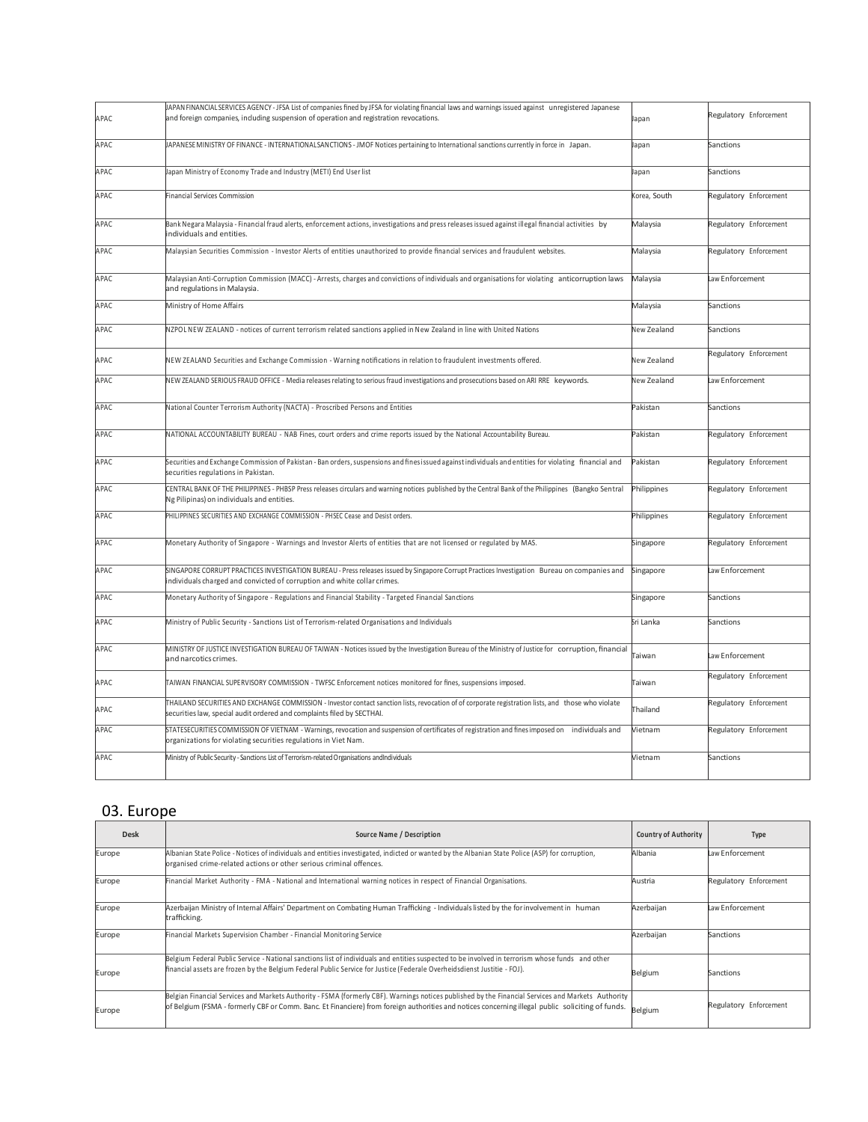| APAC | IAPAN FINANCIAL SERVICES AGENCY - JFSA List of companies fined by JFSA for violating financial laws and warnings issued against unregistered Japanese<br>and foreign companies, including suspension of operation and registration revocations.<br>Japan |              | Regulatory Enforcement |
|------|----------------------------------------------------------------------------------------------------------------------------------------------------------------------------------------------------------------------------------------------------------|--------------|------------------------|
| APAC | IAPANESE MINISTRY OF FINANCE - INTERNATIONALSANCTIONS - JMOF Notices pertaining to International sanctions currently in force in Japan.<br>lapan                                                                                                         |              | Sanctions              |
| APAC | lapan Ministry of Economy Trade and Industry (METI) End User list                                                                                                                                                                                        | Japan        | Sanctions              |
| APAC | Financial Services Commission                                                                                                                                                                                                                            | Corea, South | Regulatory Enforcement |
| APAC | Bank Negara Malaysia - Financial fraud alerts, enforcement actions, investigations and press releases issued against illegal financial activities by<br>individuals and entities.                                                                        | Malaysia     | Regulatory Enforcement |
| APAC | Malaysian Securities Commission - Investor Alerts of entities unauthorized to provide financial services and fraudulent websites.                                                                                                                        | Malaysia     | Regulatory Enforcement |
| APAC | Malaysian Anti-Corruption Commission (MACC) - Arrests, charges and convictions of individuals and organisations for violating anticorruption laws<br>and regulations in Malaysia.                                                                        | Malaysia     | Law Enforcement        |
| APAC | Ministry of Home Affairs                                                                                                                                                                                                                                 | Malaysia     | Sanctions              |
| APAC | NZPOLNEW ZEALAND - notices of current terrorism related sanctions applied in New Zealand in line with United Nations                                                                                                                                     | New Zealand  | Sanctions              |
| APAC | NEW ZEALAND Securities and Exchange Commission - Warning notifications in relation to fraudulent investments offered.                                                                                                                                    | New Zealand  | Regulatory Enforcement |
| APAC | NEW ZEALAND SERIOUS FRAUD OFFICE - Media releases relating to serious fraud investigations and prosecutions based on ARI RRE keywords.                                                                                                                   |              | Law Enforcement        |
| APAC | National Counter Terrorism Authority (NACTA) - Proscribed Persons and Entities                                                                                                                                                                           |              | Sanctions              |
| APAC | NATIONAL ACCOUNTABILITY BUREAU - NAB Fines, court orders and crime reports issued by the National Accountability Bureau.                                                                                                                                 | Pakistan     | Regulatory Enforcement |
| APAC | Securities and Exchange Commission of Pakistan - Ban orders, suspensions and fines issued against individuals and entities for violating financial and<br>Pakistan<br>securities regulations in Pakistan.                                                |              | Regulatory Enforcement |
| APAC | CENTRAL BANK OF THE PHILIPPINES - PHBSP Press releases circulars and warning notices published by the Central Bank of the Philippines (Bangko Sentral<br>Ng Pilipinas) on individuals and entities.                                                      | Philippines  | Regulatory Enforcement |
| APAC | PHILIPPINES SECURITIES AND EXCHANGE COMMISSION - PHSEC Cease and Desist orders.                                                                                                                                                                          | Philippines  | Regulatory Enforcement |
| APAC | Monetary Authority of Singapore - Warnings and Investor Alerts of entities that are not licensed or regulated by MAS.                                                                                                                                    | Singapore    | Regulatory Enforcement |
| APAC | SINGAPORE CORRUPT PRACTICES INVESTIGATION BUREAU - Press releases issued by Singapore Corrupt Practices Investigation Bureau on companies and<br>individuals charged and convicted of corruption and white collar crimes.                                | Singapore    | Law Enforcement        |
| APAC | Monetary Authority of Singapore - Regulations and Financial Stability - Targeted Financial Sanctions                                                                                                                                                     | Singapore    | Sanctions              |
| APAC | Ministry of Public Security - Sanctions List of Terrorism-related Organisations and Individuals                                                                                                                                                          | Sri Lanka    | Sanctions              |
| APAC | MINISTRY OF JUSTICE INVESTIGATION BUREAU OF TAIWAN - Notices issued by the Investigation Bureau of the Ministry of Justice for corruption, financial<br>and narcotics crimes.                                                                            |              | Law Enforcement        |
| APAC | TAIWAN FINANCIAL SUPERVISORY COMMISSION - TWFSC Enforcement notices monitored for fines, suspensions imposed.                                                                                                                                            | Taiwan       | Regulatory Enforcement |
| APAC | THAILAND SECURITIES AND EXCHANGE COMMISSION - Investor contact sanction lists, revocation of of corporate registration lists, and those who violate<br>securities law, special audit ordered and complaints filed by SECTHAI.                            | Thailand     | Regulatory Enforcement |
| APAC | STATESECURITIES COMMISSION OF VIETNAM - Warnings, revocation and suspension of certificates of registration and fines imposed on individuals and<br>organizations for violating securities regulations in Viet Nam.                                      | Vietnam      | Regulatory Enforcement |
| APAC | Ministry of Public Security - Sanctions List of Terrorism-related Organisations andIndividuals                                                                                                                                                           | Vietnam      | Sanctions              |

### 03. Europe

| <b>Desk</b> | Source Name / Description<br>Country of Authority                                                                                                                                                                                                                                                       |            | Type                   |
|-------------|---------------------------------------------------------------------------------------------------------------------------------------------------------------------------------------------------------------------------------------------------------------------------------------------------------|------------|------------------------|
| Europe      | Albanian State Police - Notices of individuals and entities investigated, indicted or wanted by the Albanian State Police (ASP) for corruption,<br>organised crime-related actions or other serious criminal offences.                                                                                  | Albania    | Law Enforcement        |
| Europe      | Financial Market Authority - FMA - National and International warning notices in respect of Financial Organisations.<br>Austria                                                                                                                                                                         |            | Regulatory Enforcement |
| Europe      | Azerbaijan Ministry of Internal Affairs' Department on Combating Human Trafficking - Individuals listed by the for involvement in human<br>trafficking.                                                                                                                                                 | Azerbaijan | Law Enforcement        |
| Europe      | Financial Markets Supervision Chamber - Financial Monitoring Service                                                                                                                                                                                                                                    | Azerbaijan | Sanctions              |
| Europe      | Belgium Federal Public Service - National sanctions list of individuals and entities suspected to be involved in terrorism whose funds and other<br>financial assets are frozen by the Belgium Federal Public Service for Justice (Federale Overheidsdienst Justitie - FOJ).                            | Belgium    | Sanctions              |
| Europe      | Belgian Financial Services and Markets Authority - FSMA (formerly CBF). Warnings notices published by the Financial Services and Markets Authority<br>of Belgium (FSMA - formerly CBF or Comm. Banc. Et Financiere) from foreign authorities and notices concerning illegal public soliciting of funds. | Belgium    | Regulatory Enforcement |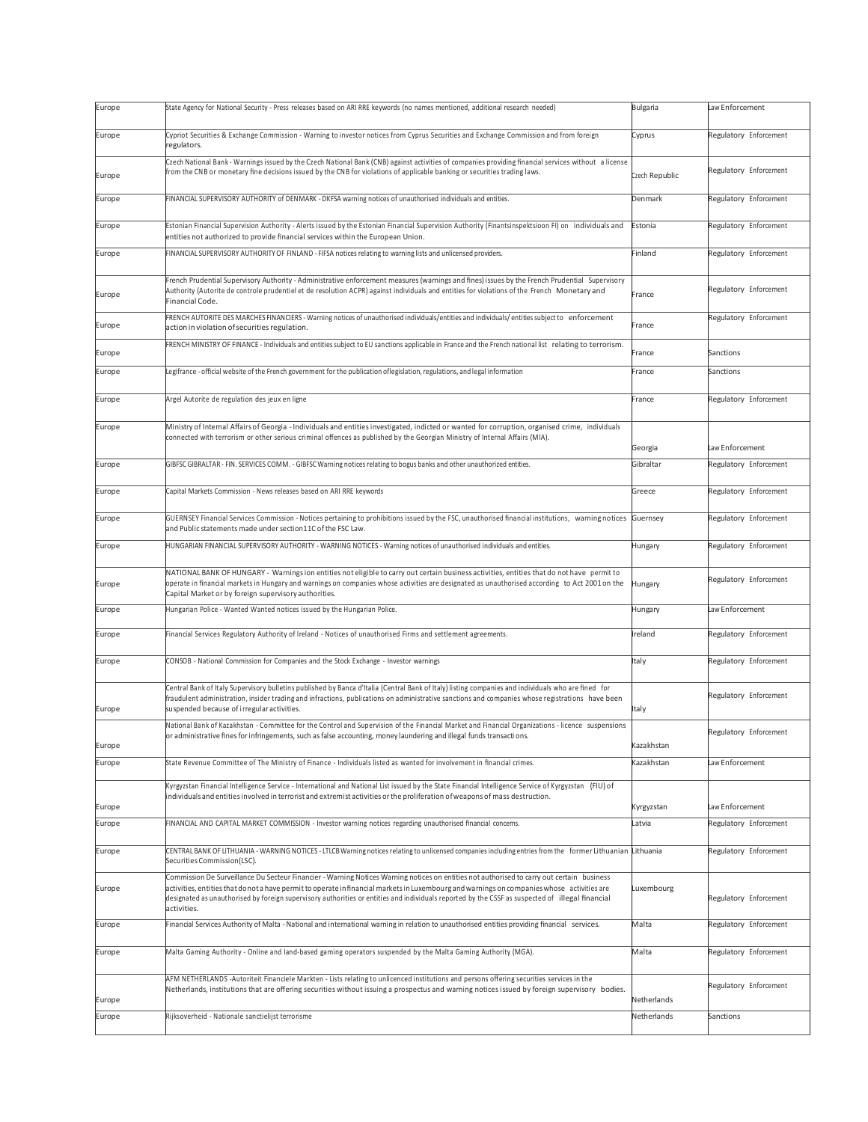| Europe           | (State Agency for National Security - Press releases based on ARI RRE keywords (no names mentioned, additional research needed)                                                                                                                                                                                                                                                                                                                            |             | Law Enforcement        |
|------------------|------------------------------------------------------------------------------------------------------------------------------------------------------------------------------------------------------------------------------------------------------------------------------------------------------------------------------------------------------------------------------------------------------------------------------------------------------------|-------------|------------------------|
| Europe           | Cypriot Securities & Exchange Commission - Warning to investor notices from Cyprus Securities and Exchange Commission and from foreign                                                                                                                                                                                                                                                                                                                     |             | Regulatory Enforcement |
|                  | regulators.                                                                                                                                                                                                                                                                                                                                                                                                                                                | Cyprus      |                        |
| Europe           | Czech National Bank - Warnings issued by the Czech National Bank (CNB) against activities of companies providing financial services without a license<br>from the CNB or monetary fine decisions issued by the CNB for violations of applicable banking or securities trading laws.<br>Czech Republic                                                                                                                                                      |             | Regulatory Enforcement |
| Europe           | FINANCIAL SUPERVISORY AUTHORITY of DENMARK - DKFSA warning notices of unauthorised individuals and entities.                                                                                                                                                                                                                                                                                                                                               | Denmark     | Regulatory Enforcement |
| Europe           | Estonian Financial Supervision Authority - Alerts issued by the Estonian Financial Supervision Authority (Finantsinspektsioon FI) on individuals and<br>entities not authorized to provide financial services within the European Union.                                                                                                                                                                                                                   | Estonia     | Regulatory Enforcement |
| Europe           | FINANCIAL SUPERVISORY AUTHORITY OF FINLAND - FIFSA notices relating to warning lists and unlicensed providers.                                                                                                                                                                                                                                                                                                                                             | Finland     | Regulatory Enforcement |
| Europe           | French Prudential Supervisory Authority - Administrative enforcement measures (warnings and fines) issues by the French Prudential Supervisory<br>Authority (Autorite de controle prudentiel et de resolution ACPR) against individuals and entities for violations of the French Monetary and<br>Financial Code.                                                                                                                                          | France      | Regulatory Enforcement |
| Europe           | FRENCH AUTORITE DES MARCHES FINANCIERS - Warning notices of unauthorised individuals/entities and individuals/ entities subject to enforcement<br>action in violation of securities regulation.                                                                                                                                                                                                                                                            | France      | Regulatory Enforcement |
| Europe           | FRENCH MINISTRY OF FINANCE - Individuals and entities subject to EU sanctions applicable in France and the French national list relating to terrorism.                                                                                                                                                                                                                                                                                                     | rance       | Sanctions              |
| Europe           | Legifrance - official website of the French government for the publication oflegislation, regulations, and legal information                                                                                                                                                                                                                                                                                                                               | France      | Sanctions              |
| Europe           | Argel Autorite de regulation des jeux en ligne                                                                                                                                                                                                                                                                                                                                                                                                             | France      | Regulatory Enforcement |
| Europe           | Ministry of Internal Affairs of Georgia - Individuals and entities investigated, indicted or wanted for corruption, organised crime, individuals                                                                                                                                                                                                                                                                                                           |             |                        |
|                  | connected with terrorism or other serious criminal offences as published by the Georgian Ministry of Internal Affairs (MIA).                                                                                                                                                                                                                                                                                                                               | Georgia     | Law Enforcement        |
| Europe           | GIBFSC GIBRALTAR - FIN. SERVICES COMM. - GIBFSC Warning notices relating to bogus banks and other unauthorized entities.                                                                                                                                                                                                                                                                                                                                   | Gibraltar   | Regulatory Enforcement |
| Europe           | Capital Markets Commission - News releases based on ARI RRE keywords                                                                                                                                                                                                                                                                                                                                                                                       | Greece      | Regulatory Enforcement |
| Europe           | GUERNSEY Financial Services Commission - Notices pertaining to prohibitions issued by the FSC, unauthorised financial institutions, warning notices<br>and Public statements made under section11C of the FSC Law.                                                                                                                                                                                                                                         |             | Regulatory Enforcement |
| Europe           | HUNGARIAN FINANCIAL SUPERVISORY AUTHORITY - WARNING NOTICES - Warning notices of unauthorised individuals and entities.                                                                                                                                                                                                                                                                                                                                    |             | Regulatory Enforcement |
| Europe           | NATIONAL BANK OF HUNGARY - Warnings ion entities not eligible to carry out certain business activities, entities that do not have permit to<br>operate in financial markets in Hungary and warnings on companies whose activities are designated as unauthorised according to Act 2001 on the<br>Capital Market or by foreign supervisory authorities.                                                                                                     |             | Regulatory Enforcement |
| Europe           | Hungarian Police - Wanted Wanted notices issued by the Hungarian Police.                                                                                                                                                                                                                                                                                                                                                                                   | Hungary     | Law Enforcement        |
| Europe           | Financial Services Regulatory Authority of Ireland - Notices of unauthorised Firms and settlement agreements.                                                                                                                                                                                                                                                                                                                                              | reland      | Regulatory Enforcement |
| Europe           | CONSOB - National Commission for Companies and the Stock Exchange - Investor warnings                                                                                                                                                                                                                                                                                                                                                                      | Italy       | Regulatory Enforcement |
| Europe           | Central Bank of Italy Supervisory bulletins published by Banca d'Italia (Central Bank of Italy) listing companies and individuals who are fined for<br>fraudulent administration, insider trading and infractions, publications on administrative sanctions and companies whose registrations have been<br>suspended because of irregular activities.                                                                                                      | Italy       | Regulatory Enforcement |
| Europe           | National Bank of Kazakhstan - Committee for the Control and Supervision of the Financial Market and Financial Organizations - licence suspensions<br>or administrative fines for infringements, such as false accounting, money laundering and illegal funds transactions.                                                                                                                                                                                 | Kazakhstan  | Regulatory Enforcement |
| Europe           | State Revenue Committee of The Ministry of Finance - Individuals listed as wanted for involvement in financial crimes.                                                                                                                                                                                                                                                                                                                                     | Kazakhstan  | Law Enforcement        |
|                  | Kyrgyzstan Financial Intelligence Service - International and National List issued by the State Financial Intelligence Service of Kyrgyzstan (FIU) of                                                                                                                                                                                                                                                                                                      |             |                        |
| Europe           | individuals and entities involved in terrorist and extremist activities or the proliferation of weapons of mass destruction.                                                                                                                                                                                                                                                                                                                               | Kyrgyzstan  | Law Enforcement        |
| Europe           | FINANCIAL AND CAPITAL MARKET COMMISSION - Investor warning notices regarding unauthorised financial concerns.                                                                                                                                                                                                                                                                                                                                              | .atvia      | Regulatory Enforcement |
| Europe           | CENTRAL BANK OF LITHUANIA - WARNING NOTICES - LTLCB Warning notices relating to unlicensed companies including entries from the former Lithuanian Lithuania                                                                                                                                                                                                                                                                                                |             | Regulatory Enforcement |
|                  | Securities Commission(LSC).                                                                                                                                                                                                                                                                                                                                                                                                                                |             |                        |
| Europe           | Commission De Surveillance Du Secteur Financier - Warning Notices Warning notices on entities not authorised to carry out certain business<br>activities, entities that donot a have permit to operate infinancial markets in Luxembourg and warnings on companies whose activities are<br>designated as unauthorised by foreign supervisory authorities or entities and individuals reported by the CSSF as suspected of illegal financial<br>activities. | Luxembourg  | Regulatory Enforcement |
| Europe           | Financial Services Authority of Malta - National and international warning in relation to unauthorised entities providing financial services.                                                                                                                                                                                                                                                                                                              |             | Regulatory Enforcement |
| Europe           | Malta Gaming Authority - Online and land-based gaming operators suspended by the Malta Gaming Authority (MGA).                                                                                                                                                                                                                                                                                                                                             | Malta       | Regulatory Enforcement |
|                  | AFM NETHERLANDS -Autoriteit Financiele Markten - Lists relating to unlicenced institutions and persons offering securities services in the<br>Netherlands, institutions that are offering securities without issuing a prospectus and warning notices issued by foreign supervisory bodies.                                                                                                                                                                | Netherlands | Regulatory Enforcement |
| Europe<br>Europe | Rijksoverheid - Nationale sanctielijst terrorisme                                                                                                                                                                                                                                                                                                                                                                                                          | Netherlands | Sanctions              |
|                  |                                                                                                                                                                                                                                                                                                                                                                                                                                                            |             |                        |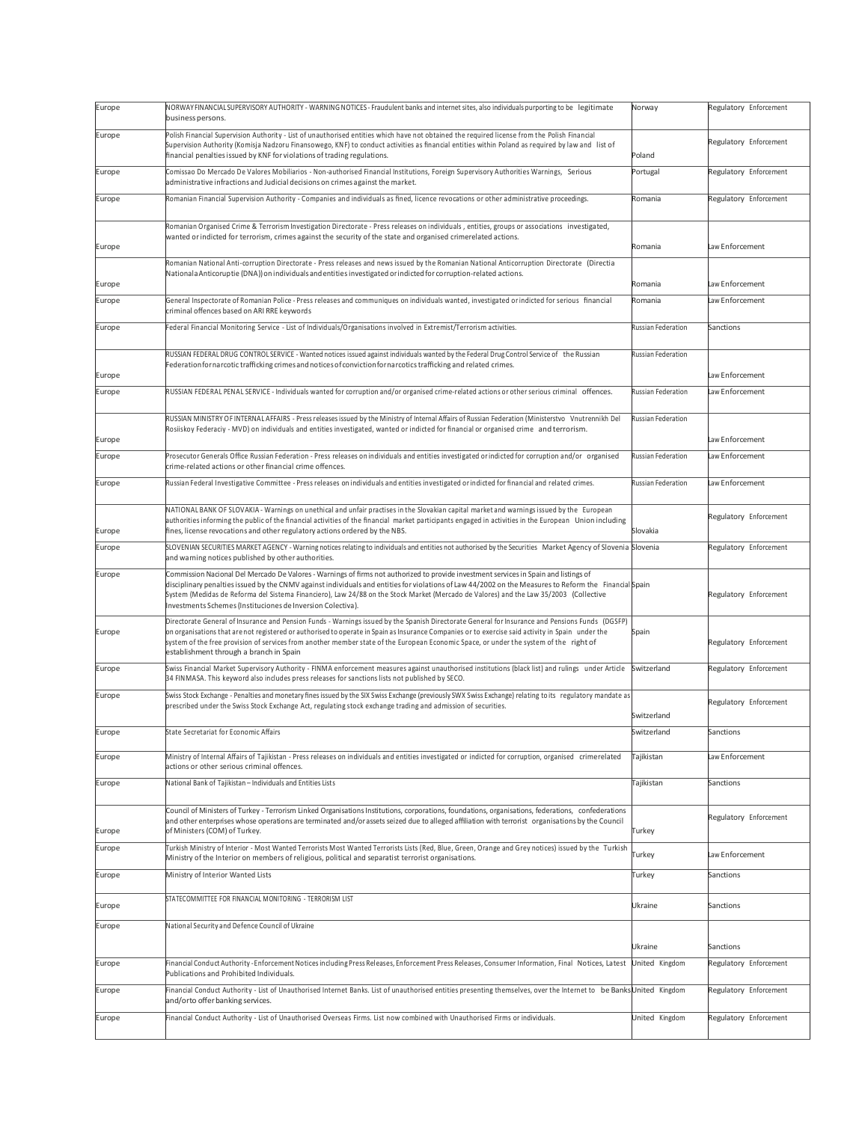| Europe           | NORWAYFINANCIAL SUPERVISORY AUTHORITY - WARNING NOTICES - Fraudulent banks and internet sites, also individuals purporting to be legitimate<br>Norway<br>business persons.                                                                                                                                                                                                                                                                                                                               |                            | Regulatory Enforcement |
|------------------|----------------------------------------------------------------------------------------------------------------------------------------------------------------------------------------------------------------------------------------------------------------------------------------------------------------------------------------------------------------------------------------------------------------------------------------------------------------------------------------------------------|----------------------------|------------------------|
| Europe           | Polish Financial Supervision Authority - List of unauthorised entities which have not obtained the required license from the Polish Financial<br>Supervision Authority (Komisja Nadzoru Finansowego, KNF) to conduct activities as financial entities within Poland as required by law and list of<br>financial penalties issued by KNF for violations of trading regulations.<br>Poland                                                                                                                 |                            | Regulatory Enforcement |
| Europe           | Comissao Do Mercado De Valores Mobiliarios - Non-authorised Financial Institutions, Foreign Supervisory Authorities Warnings, Serious<br>Portugal<br>administrative infractions and Judicial decisions on crimes against the market.                                                                                                                                                                                                                                                                     |                            | Regulatory Enforcement |
| Europe           | Romanian Financial Supervision Authority - Companies and individuals as fined, licence revocations or other administrative proceedings.                                                                                                                                                                                                                                                                                                                                                                  | Romania                    | Regulatory Enforcement |
|                  | Romanian Organised Crime & Terrorism Investigation Directorate - Press releases on individuals, entities, groups or associations investigated,<br>wanted or indicted for terrorism, crimes against the security of the state and organised crimerelated actions.                                                                                                                                                                                                                                         |                            |                        |
| Europe           |                                                                                                                                                                                                                                                                                                                                                                                                                                                                                                          | Romania                    | Law Enforcement        |
|                  | Romanian National Anti-corruption Directorate - Press releases and news issued by the Romanian National Anticorruption Directorate (Directia<br>Nationala Anticoruptie (DNA)) on individuals and entities investigated or indicted for corruption-related actions.                                                                                                                                                                                                                                       |                            | Law Enforcement        |
| Europe<br>Europe | General Inspectorate of Romanian Police - Press releases and communiques on individuals wanted, investigated or indicted for serious financial                                                                                                                                                                                                                                                                                                                                                           | Romania<br>Romania         | Law Enforcement        |
|                  | criminal offences based on ARI RRE keywords                                                                                                                                                                                                                                                                                                                                                                                                                                                              | <b>Russian Federation</b>  |                        |
| Europe           | Federal Financial Monitoring Service - List of Individuals/Organisations involved in Extremist/Terrorism activities.                                                                                                                                                                                                                                                                                                                                                                                     |                            | Sanctions              |
| Europe           | RUSSIAN FEDERAL DRUG CONTROL SERVICE - Wanted notices issued against individuals wanted by the Federal Drug Control Service of the Russian<br>Federation fornarcotic trafficking crimes and notices of conviction fornarcotics trafficking and related crimes.                                                                                                                                                                                                                                           | <b>Russian Federation</b>  | Law Enforcement        |
| Europe           | RUSSIAN FEDERAL PENAL SERVICE - Individuals wanted for corruption and/or organised crime-related actions or other serious criminal offences.                                                                                                                                                                                                                                                                                                                                                             | Russian Federation         | Law Enforcement        |
|                  | RUSSIAN MINISTRY OF INTERNAL AFFAIRS - Press releases issued by the Ministry of Internal Affairs of Russian Federation (Ministerstvo Vnutrennikh Del                                                                                                                                                                                                                                                                                                                                                     | <b>Russian Federation</b>  |                        |
| Europe           | Rosiiskoy Federaciy - MVD) on individuals and entities investigated, wanted or indicted for financial or organised crime and terrorism.                                                                                                                                                                                                                                                                                                                                                                  |                            | Law Enforcement        |
| Europe           | Prosecutor Generals Office Russian Federation - Press releases on individuals and entities investigated or indicted for corruption and/or organised<br>crime-related actions or other financial crime offences.                                                                                                                                                                                                                                                                                          | <b>Russian Federation</b>  | Law Enforcement        |
| Europe           | Russian Federal Investigative Committee - Press releases on individuals and entities investigated or indicted for financial and related crimes.                                                                                                                                                                                                                                                                                                                                                          | <b>Russian Federation</b>  | Law Enforcement        |
| Europe           | NATIONAL BANK OF SLOVAKIA - Warnings on unethical and unfair practises in the Slovakian capital market and warnings issued by the European<br>authorities informing the public of the financial activities of the financial market participants engaged in activities in the European Union including<br>fines, license revocations and other regulatory actions ordered by the NBS.                                                                                                                     | Slovakia                   | Regulatory Enforcement |
| Europe           | SLOVENIAN SECURITIES MARKET AGENCY - Warning notices relating to individuals and entities not authorised by the Securities Market Agency of Slovenia Slovenia<br>and warning notices published by other authorities.                                                                                                                                                                                                                                                                                     |                            | Regulatory Enforcement |
| Europe           | Commission Nacional Del Mercado De Valores - Warnings of firms not authorized to provide investment services in Spain and listings of<br>disciplinary penalties issued by the CNMV against individuals and entities for violations of Law 44/2002 on the Measures to Reform the Financial Spain<br>System (Medidas de Reforma del Sistema Financiero), Law 24/88 on the Stock Market (Mercado de Valores) and the Law 35/2003 (Collective<br>Investments Schemes (Instituciones de Inversion Colectiva). |                            | Regulatory Enforcement |
| Europe           | Directorate General of Insurance and Pension Funds - Warnings issued by the Spanish Directorate General for Insurance and Pensions Funds (DGSFP)<br>on organisations that are not registered or authorised to operate in Spain as Insurance Companies or to exercise said activity in Spain under the<br>system of the free provision of services from another member state of the European Economic Space, or under the system of the right of<br>establishment through a branch in Spain               |                            | Regulatory Enforcement |
| Europe           | Swiss Financial Market Supervisory Authority - FINMA enforcement measures against unauthorised institutions (black list) and rulings under Article<br>34 FINMASA. This keyword also includes press releases for sanctions lists not published by SECO.                                                                                                                                                                                                                                                   | Switzerland                | Regulatory Enforcement |
| Europe           | Swiss Stock Exchange - Penalties and monetary fines issued by the SIX Swiss Exchange (previously SWX Swiss Exchange) relating to its regulatory mandate as<br>prescribed under the Swiss Stock Exchange Act, regulating stock exchange trading and admission of securities.                                                                                                                                                                                                                              |                            | Regulatory Enforcement |
|                  | State Secretariat for Economic Affairs                                                                                                                                                                                                                                                                                                                                                                                                                                                                   | Switzerland<br>Switzerland | Sanctions              |
| Europe           |                                                                                                                                                                                                                                                                                                                                                                                                                                                                                                          |                            |                        |
| Europe           | Ministry of Internal Affairs of Tajikistan - Press releases on individuals and entities investigated or indicted for corruption, organised crimerelated<br>actions or other serious criminal offences.                                                                                                                                                                                                                                                                                                   | <b>Tajikistan</b>          | Law Enforcement        |
| Europe           | National Bank of Tajikistan - Individuals and Entities Lists                                                                                                                                                                                                                                                                                                                                                                                                                                             | Tajikistan                 | Sanctions              |
|                  | Council of Ministers of Turkey - Terrorism Linked Organisations Institutions, corporations, foundations, organisations, federations, confederations<br>and other enterprises whose operations are terminated and/or assets seized due to alleged affiliation with terrorist organisations by the Council                                                                                                                                                                                                 |                            | Regulatory Enforcement |
| Europe           | of Ministers (COM) of Turkey.                                                                                                                                                                                                                                                                                                                                                                                                                                                                            | Turkey                     |                        |
| Europe           | Turkish Ministry of Interior - Most Wanted Terrorists Most Wanted Terrorists Lists (Red, Blue, Green, Orange and Grey notices) issued by the Turkish<br>Ministry of the Interior on members of religious, political and separatist terrorist organisations.                                                                                                                                                                                                                                              | <b>Turkey</b>              | Law Enforcement        |
| Europe           | Ministry of Interior Wanted Lists                                                                                                                                                                                                                                                                                                                                                                                                                                                                        | Turkey                     | Sanctions              |
| Europe           | STATECOMMITTEE FOR FINANCIAL MONITORING - TERRORISM LIST                                                                                                                                                                                                                                                                                                                                                                                                                                                 | Ukraine                    | Sanctions              |
| Europe           | National Security and Defence Council of Ukraine                                                                                                                                                                                                                                                                                                                                                                                                                                                         | Ukraine                    | Sanctions              |
| Europe           | Financial Conduct Authority - Enforcement Notices including Press Releases, Enforcement Press Releases, Consumer Information, Final Notices, Latest                                                                                                                                                                                                                                                                                                                                                      | United Kingdom             | Regulatory Enforcement |
|                  | Publications and Prohibited Individuals.                                                                                                                                                                                                                                                                                                                                                                                                                                                                 |                            |                        |
| Europe           | Financial Conduct Authority - List of Unauthorised Internet Banks. List of unauthorised entities presenting themselves, over the Internet to be BanksUnited Kingdom<br>and/orto offer banking services.                                                                                                                                                                                                                                                                                                  |                            | Regulatory Enforcement |
| Europe           | Financial Conduct Authority - List of Unauthorised Overseas Firms. List now combined with Unauthorised Firms or individuals.                                                                                                                                                                                                                                                                                                                                                                             | United Kingdom             | Regulatory Enforcement |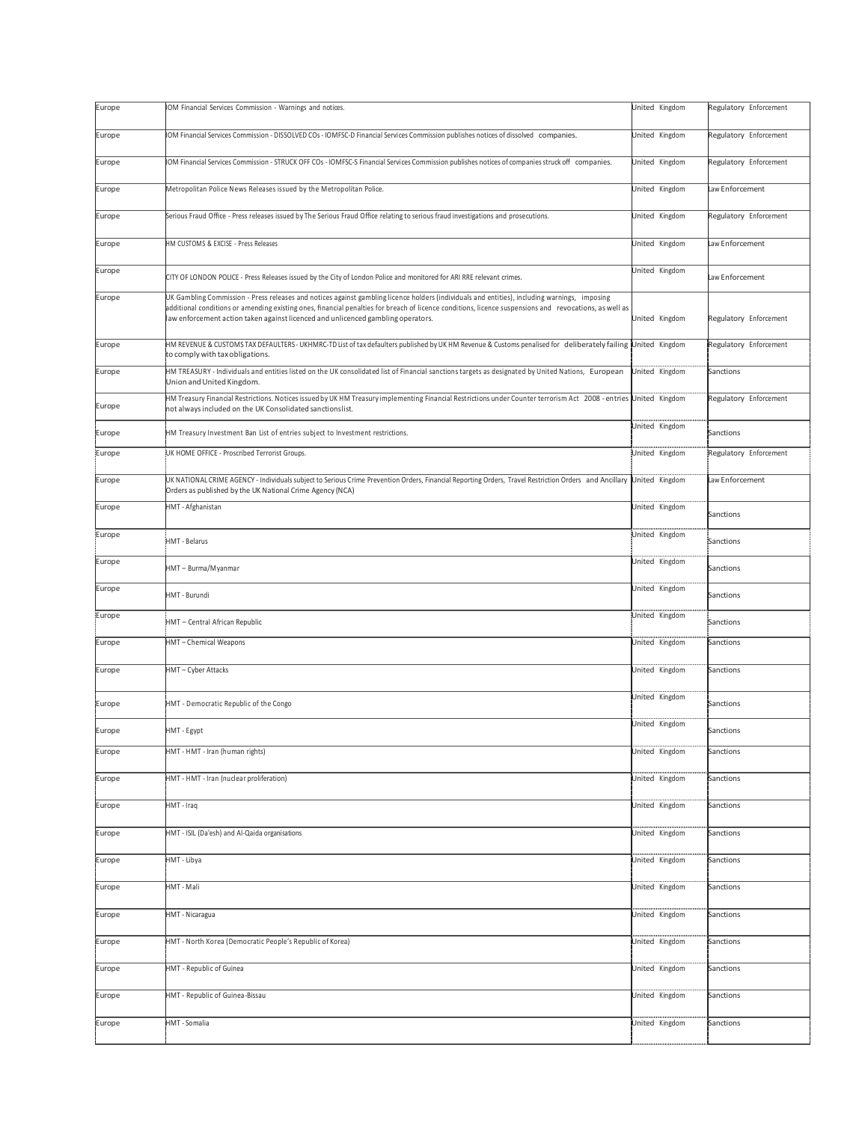| Europe | IOM Financial Services Commission - Warnings and notices.                                                                                                                                                                                                                                                                                                                                   | United Kingdom | Regulatory Enforcement |
|--------|---------------------------------------------------------------------------------------------------------------------------------------------------------------------------------------------------------------------------------------------------------------------------------------------------------------------------------------------------------------------------------------------|----------------|------------------------|
| Europe | IOM Financial Services Commission - DISSOLVED COs - IOMFSC-D Financial Services Commission publishes notices of dissolved companies.                                                                                                                                                                                                                                                        | United Kingdom | Regulatory Enforcement |
| Europe | IOM Financial Services Commission - STRUCK OFF COs - IOMFSC-S Financial Services Commission publishes notices of companies struck off companies.                                                                                                                                                                                                                                            | United Kingdom | Regulatory Enforcement |
| Europe | Metropolitan Police News Releases issued by the Metropolitan Police.                                                                                                                                                                                                                                                                                                                        | United Kingdom | Law Enforcement        |
| Europe | Serious Fraud Office - Press releases issued by The Serious Fraud Office relating to serious fraud investigations and prosecutions.                                                                                                                                                                                                                                                         | United Kingdom | Regulatory Enforcement |
| Europe | HM CUSTOMS & EXCISE - Press Releases                                                                                                                                                                                                                                                                                                                                                        | United Kingdom | Law Enforcement        |
| Europe | CITY OF LONDON POLICE - Press Releases issued by the City of London Police and monitored for ARI RRE relevant crimes.                                                                                                                                                                                                                                                                       | United Kingdom | Law Enforcement        |
| Europe | UK Gambling Commission - Press releases and notices against gambling licence holders (individuals and entities), including warnings, imposing<br>additional conditions or amending existing ones, financial penalties for breach of licence conditions, licence suspensions and revocations, as well as<br>law enforcement action taken against licenced and unlicenced gambling operators. | United Kingdom | Regulatory Enforcement |
| Europe | HIM REVENUE & CUSTOMS TAX DEFAULTERS - UKHMRC-TD List of tax defaulters published by UKHM Revenue & Customs penalised for deliberately failing United Kingdom<br>to comply with tax obligations.                                                                                                                                                                                            |                | Regulatory Enforcement |
| Europe | HM TREASURY - Individuals and entities listed on the UK consolidated list of Financial sanctions targets as designated by United Nations, European<br>Union and United Kingdom.                                                                                                                                                                                                             | United Kingdom | Sanctions              |
| Europe | HM Treasury Financial Restrictions. Notices issued by UK HM Treasury implementing Financial Restrictions under Counter terrorism Act 2008 - entries<br>not always included on the UK Consolidated sanctionslist.                                                                                                                                                                            | United Kingdom | Regulatory Enforcement |
| Europe | HM Treasury Investment Ban List of entries subject to Investment restrictions.                                                                                                                                                                                                                                                                                                              | United Kingdom | Sanctions              |
| Europe | UK HOME OFFICE - Proscribed Terrorist Groups.                                                                                                                                                                                                                                                                                                                                               | United Kingdom | Regulatory Enforcement |
| Europe | UK NATIONAL CRIME AGENCY - Individuals subject to Serious Crime Prevention Orders, Financial Reporting Orders, Travel Restriction Orders and Ancillary<br>Orders as published by the UK National Crime Agency (NCA)                                                                                                                                                                         | United Kingdom | aw Enforcement         |
| Europe | HMT - Afghanistan                                                                                                                                                                                                                                                                                                                                                                           | United Kingdom | Sanctions              |
| Europe | <b>HMT</b> - Belarus                                                                                                                                                                                                                                                                                                                                                                        | United Kingdom | Sanctions              |
| Europe | HMT - Burma/Myanmar                                                                                                                                                                                                                                                                                                                                                                         | United Kingdom | Sanctions              |
| Europe | HMT - Burundi                                                                                                                                                                                                                                                                                                                                                                               | United Kingdom | Sanctions              |
| Europe | HMT - Central African Republic                                                                                                                                                                                                                                                                                                                                                              | United Kingdom | Sanctions              |
| Europe | HMT-Chemical Weapons                                                                                                                                                                                                                                                                                                                                                                        | United Kingdom | Sanctions              |
| Europe | HMT-Cyber Attacks                                                                                                                                                                                                                                                                                                                                                                           | United Kingdom | Sanctions              |
| Europe | HMT - Democratic Republic of the Congo                                                                                                                                                                                                                                                                                                                                                      | United Kingdom | Sanctions              |
| Europe | HMT - Egypt                                                                                                                                                                                                                                                                                                                                                                                 | United Kingdom | Sanctions              |
| Europe | HMT - HMT - Iran (human rights)                                                                                                                                                                                                                                                                                                                                                             | United Kingdom | Sanctions              |
| Europe | HMT - HMT - Iran (nuclear proliferation)                                                                                                                                                                                                                                                                                                                                                    | United Kingdom | Sanctions              |
| Europe | HMT - Iraq                                                                                                                                                                                                                                                                                                                                                                                  | United Kingdom | Sanctions              |
| Europe | HMT - ISIL (Da'esh) and Al-Qaida organisations                                                                                                                                                                                                                                                                                                                                              | United Kingdom | Sanctions              |
| Europe | HMT - Libya                                                                                                                                                                                                                                                                                                                                                                                 | United Kingdom | Sanctions              |
| Europe | HMT - Mali                                                                                                                                                                                                                                                                                                                                                                                  | United Kingdom | Sanctions              |
| Europe | HMT - Nicaragua                                                                                                                                                                                                                                                                                                                                                                             | United Kingdom | Sanctions              |
| Europe | HMT - North Korea (Democratic People's Republic of Korea)                                                                                                                                                                                                                                                                                                                                   | United Kingdom | Sanctions              |
| Europe | HMT - Republic of Guinea                                                                                                                                                                                                                                                                                                                                                                    | United Kingdom | Sanctions              |
| Europe | HMT - Republic of Guinea-Bissau                                                                                                                                                                                                                                                                                                                                                             | United Kingdom | Sanctions              |
| Europe | HMT - Somalia                                                                                                                                                                                                                                                                                                                                                                               | United Kingdom | Sanctions              |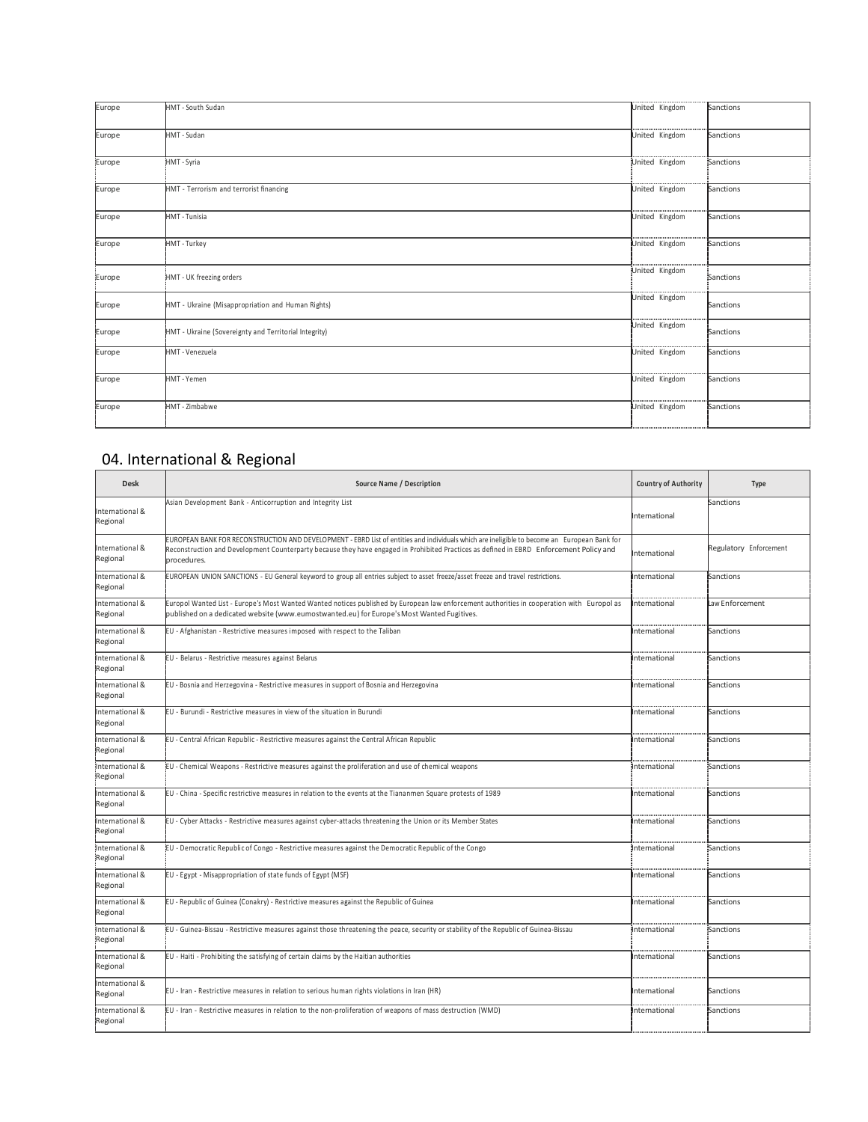| Europe | HMT - South Sudan                                     | United Kingdom     | Sanctions |
|--------|-------------------------------------------------------|--------------------|-----------|
| Europe | HMT - Sudan                                           | United Kingdom     | Sanctions |
| Europe | HMT - Syria                                           | United Kingdom     | Sanctions |
| Europe | HMT - Terrorism and terrorist financing               | United Kingdom     | Sanctions |
| Europe | HMT - Tunisia                                         | United Kingdom     | Sanctions |
| Europe | HMT - Turkey                                          | United Kingdom     | Sanctions |
| Europe | HMT - UK freezing orders                              | United Kingdom     | Sanctions |
| Europe | HMT - Ukraine (Misappropriation and Human Rights)     | United Kingdom     | Sanctions |
| Europe | HMT - Ukraine (Sovereignty and Territorial Integrity) | United Kingdom     | Sanctions |
| Europe | HMT - Venezuela                                       | <br>United Kingdom | Sanctions |
| Europe | HMT - Yemen                                           | United Kingdom     | Sanctions |
| Europe | HMT - Zimbabwe                                        | United Kingdom     | Sanctions |
|        |                                                       |                    |           |

## 04. International & Regional

| <b>Desk</b>                 | Source Name / Description                                                                                                                                                                                                                                                                              | <b>Country of Authority</b> | Type                   |
|-----------------------------|--------------------------------------------------------------------------------------------------------------------------------------------------------------------------------------------------------------------------------------------------------------------------------------------------------|-----------------------------|------------------------|
| International &<br>Regional | Asian Development Bank - Anticorruption and Integrity List                                                                                                                                                                                                                                             | International               | Sanctions              |
| International &<br>Regional | EUROPEAN BANK FOR RECONSTRUCTION AND DEVELOPMENT - EBRD List of entities and individuals which are ineligible to become an European Bank for<br>Reconstruction and Development Counterparty because they have engaged in Prohibited Practices as defined in EBRD Enforcement Policy and<br>procedures. | International               | Regulatory Enforcement |
| International &<br>Regional | EUROPEAN UNION SANCTIONS - EU General keyword to group all entries subject to asset freeze/asset freeze and travel restrictions.                                                                                                                                                                       | International               | Sanctions              |
| International &<br>Regional | Europol Wanted List - Europe's Most Wanted Wanted notices published by European law enforcement authorities in cooperation with Europol as<br>published on a dedicated website (www.eumostwanted.eu) for Europe's Most Wanted Fugitives.                                                               | International               | Law Enforcement        |
| International &<br>Regional | EU - Afghanistan - Restrictive measures imposed with respect to the Taliban                                                                                                                                                                                                                            | International               | Sanctions              |
| International &<br>Regional | EU - Belarus - Restrictive measures against Belarus                                                                                                                                                                                                                                                    | International               | Sanctions              |
| International &<br>Regional | EU - Bosnia and Herzegovina - Restrictive measures in support of Bosnia and Herzegovina                                                                                                                                                                                                                | International               | Sanctions              |
| International &<br>Regional | EU - Burundi - Restrictive measures in view of the situation in Burundi                                                                                                                                                                                                                                | International               | Sanctions              |
| International &<br>Regional | EU - Central African Republic - Restrictive measures against the Central African Republic                                                                                                                                                                                                              | International               | Sanctions              |
| International &<br>Regional | EU - Chemical Weapons - Restrictive measures against the proliferation and use of chemical weapons                                                                                                                                                                                                     | International               | Sanctions              |
| International &<br>Regional | EU - China - Specific restrictive measures in relation to the events at the Tiananmen Square protests of 1989                                                                                                                                                                                          | International               | Sanctions              |
| International &<br>Regional | EU - Cyber Attacks - Restrictive measures against cyber-attacks threatening the Union or its Member States                                                                                                                                                                                             | International               | Sanctions              |
| International &<br>Regional | EU - Democratic Republic of Congo - Restrictive measures against the Democratic Republic of the Congo                                                                                                                                                                                                  | International               | Sanctions              |
| International &<br>Regional | EU - Egypt - Misappropriation of state funds of Egypt (MSF)                                                                                                                                                                                                                                            | International               | Sanctions              |
| International &<br>Regional | EU - Republic of Guinea (Conakry) - Restrictive measures against the Republic of Guinea                                                                                                                                                                                                                | International               | Sanctions              |
| International &<br>Regional | EU - Guinea-Bissau - Restrictive measures against those threatening the peace, security or stability of the Republic of Guinea-Bissau                                                                                                                                                                  | International               | Sanctions              |
| International &<br>Regional | EU - Haiti - Prohibiting the satisfying of certain claims by the Haitian authorities                                                                                                                                                                                                                   | International               | Sanctions              |
| International &<br>Regional | EU - Iran - Restrictive measures in relation to serious human rights violations in Iran (HR)                                                                                                                                                                                                           | International               | Sanctions              |
| International &<br>Regional | EU - Iran - Restrictive measures in relation to the non-proliferation of weapons of mass destruction (WMD)                                                                                                                                                                                             | International               | Sanctions              |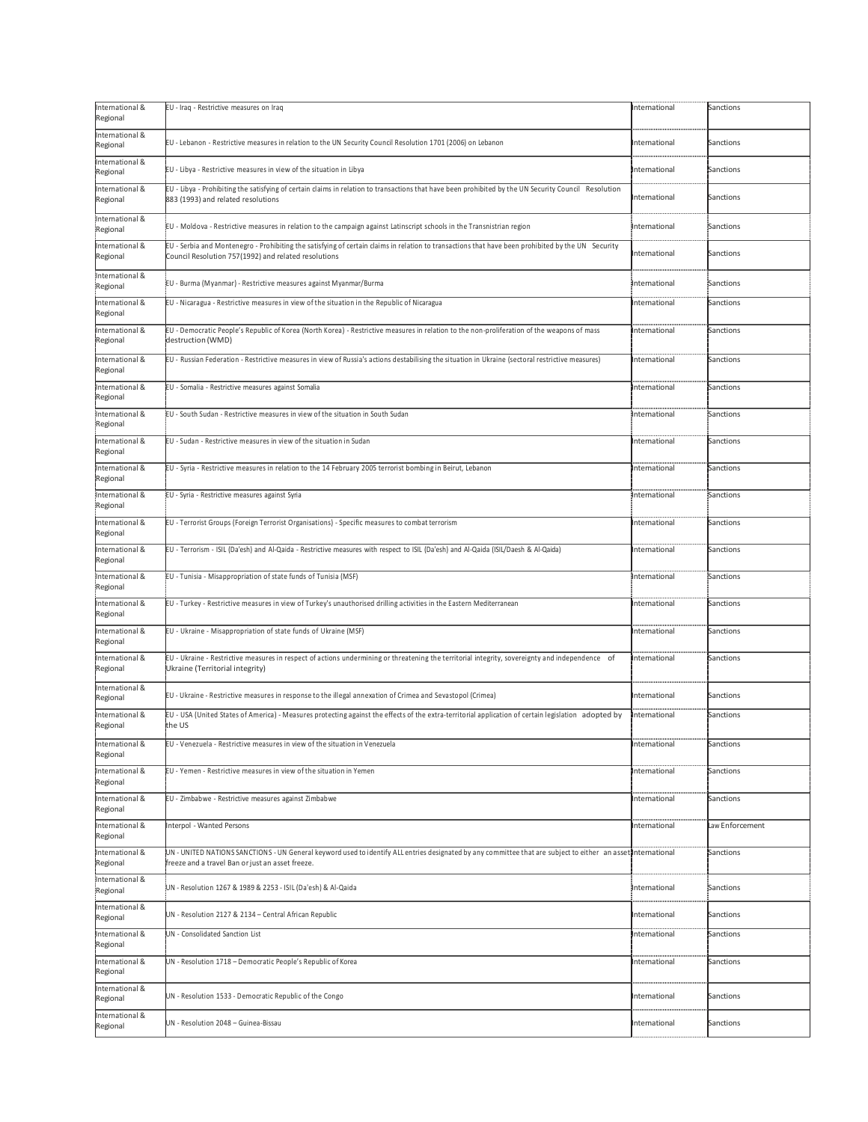| International &<br>Regional | EU - Iraq - Restrictive measures on Iraq                                                                                                                                                                         | International | Sanctions       |
|-----------------------------|------------------------------------------------------------------------------------------------------------------------------------------------------------------------------------------------------------------|---------------|-----------------|
| International &<br>Regional | EU - Lebanon - Restrictive measures in relation to the UN Security Council Resolution 1701 (2006) on Lebanon                                                                                                     | International | Sanctions       |
| International &<br>Regional | EU - Libya - Restrictive measures in view of the situation in Libya                                                                                                                                              | International | Sanctions       |
| International &<br>Regional | EU - Libya - Prohibiting the satisfying of certain claims in relation to transactions that have been prohibited by the UN Security Council Resolution<br>883 (1993) and related resolutions                      | nternational  | Sanctions       |
| International &<br>Regional | EU - Moldova - Restrictive measures in relation to the campaign against Latinscript schools in the Transnistrian region                                                                                          | International | Sanctions       |
| International &<br>Regional | EU - Serbia and Montenegro - Prohibiting the satisfying of certain claims in relation to transactions that have been prohibited by the UN Security<br>Council Resolution 757(1992) and related resolutions       | International | Sanctions       |
| International &<br>Regional | EU - Burma (Myanmar) - Restrictive measures against Myanmar/Burma                                                                                                                                                | International | Sanctions       |
| International &<br>Regional | EU - Nicaragua - Restrictive measures in view of the situation in the Republic of Nicaragua                                                                                                                      | International | Sanctions       |
| International &<br>Regional | EU - Democratic People's Republic of Korea (North Korea) - Restrictive measures in relation to the non-proliferation of the weapons of mass<br>destruction (WMD)                                                 | International | Sanctions       |
| International &<br>Regional | EU - Russian Federation - Restrictive measures in view of Russia's actions destabilising the situation in Ukraine (sectoral restrictive measures)                                                                | International | Sanctions       |
| International &<br>Regional | EU - Somalia - Restrictive measures against Somalia                                                                                                                                                              | International | Sanctions       |
| International &<br>Regional | EU - South Sudan - Restrictive measures in view of the situation in South Sudan                                                                                                                                  | International | Sanctions       |
| International &<br>Regional | EU - Sudan - Restrictive measures in view of the situation in Sudan                                                                                                                                              | International | Sanctions       |
| International &<br>Regional | EU - Syria - Restrictive measures in relation to the 14 February 2005 terrorist bombing in Beirut, Lebanon                                                                                                       | International | Sanctions       |
| International &<br>Regional | EU - Syria - Restrictive measures against Syria                                                                                                                                                                  | International | Sanctions       |
| International &<br>Regional | EU - Terrorist Groups (Foreign Terrorist Organisations) - Specific measures to combat terrorism                                                                                                                  | International | Sanctions       |
| International &<br>Regional | EU - Terrorism - ISIL (Da'esh) and Al-Qaida - Restrictive measures with respect to ISIL (Da'esh) and Al-Qaida (ISIL/Daesh & Al-Qaida)                                                                            | International | Sanctions       |
|                             |                                                                                                                                                                                                                  |               |                 |
| International &<br>Regional | EU - Tunisia - Misappropriation of state funds of Tunisia (MSF)                                                                                                                                                  | International | Sanctions       |
| International &<br>Regional | EU - Turkey - Restrictive measures in view of Turkey's unauthorised drilling activities in the Eastern Mediterranean                                                                                             | International | Sanctions       |
| International &<br>Regional | EU - Ukraine - Misappropriation of state funds of Ukraine (MSF)                                                                                                                                                  | nternational  | Sanctions       |
| International &<br>Regional | EU - Ukraine - Restrictive measures in respect of actions undermining or threatening the territorial integrity, sovereignty and independence of<br>Ukraine (Territorial integrity)                               | International | Sanctions       |
| International &<br>Regional | EU - Ukraine - Restrictive measures in response to the illegal annexation of Crimea and Sevastopol (Crimea)                                                                                                      | International | Sanctions       |
| International &<br>Regional | EU - USA (United States of America) - Measures protecting against the effects of the extra-territorial application of certain legislation adopted by<br>the US                                                   | nternational  | Sanctions       |
| International &<br>Regional | EU - Venezuela - Restrictive measures in view of the situation in Venezuela                                                                                                                                      | International | Sanctions       |
| International &<br>Regional | EU - Yemen - Restrictive measures in view of the situation in Yemen                                                                                                                                              | International | Sanctions       |
| International &<br>Regional | EU - Zimbabwe - Restrictive measures against Zimbabwe                                                                                                                                                            | International | Sanctions       |
| International &<br>Regional | Interpol - Wanted Persons                                                                                                                                                                                        | International | Law Enforcement |
| International &<br>Regional | UN - UNITED NATIONS SANCTIONS - UN General keyword used to identify ALL entries designated by any committee that are subject to either an assetinternational<br>freeze and a travel Ban or just an asset freeze. |               | Sanctions       |
| International &<br>Regional | UN - Resolution 1267 & 1989 & 2253 - ISIL (Da'esh) & Al-Qaida                                                                                                                                                    | International | Sanctions       |
| International &<br>Regional | UN - Resolution 2127 & 2134 - Central African Republic                                                                                                                                                           | International | Sanctions       |
| International &<br>Regional | UN - Consolidated Sanction List                                                                                                                                                                                  | International | Sanctions       |
| International &<br>Regional | UN - Resolution 1718 - Democratic People's Republic of Korea                                                                                                                                                     | nternational  | Sanctions       |
| International &<br>Regional | UN - Resolution 1533 - Democratic Republic of the Congo                                                                                                                                                          | nternational  | Sanctions       |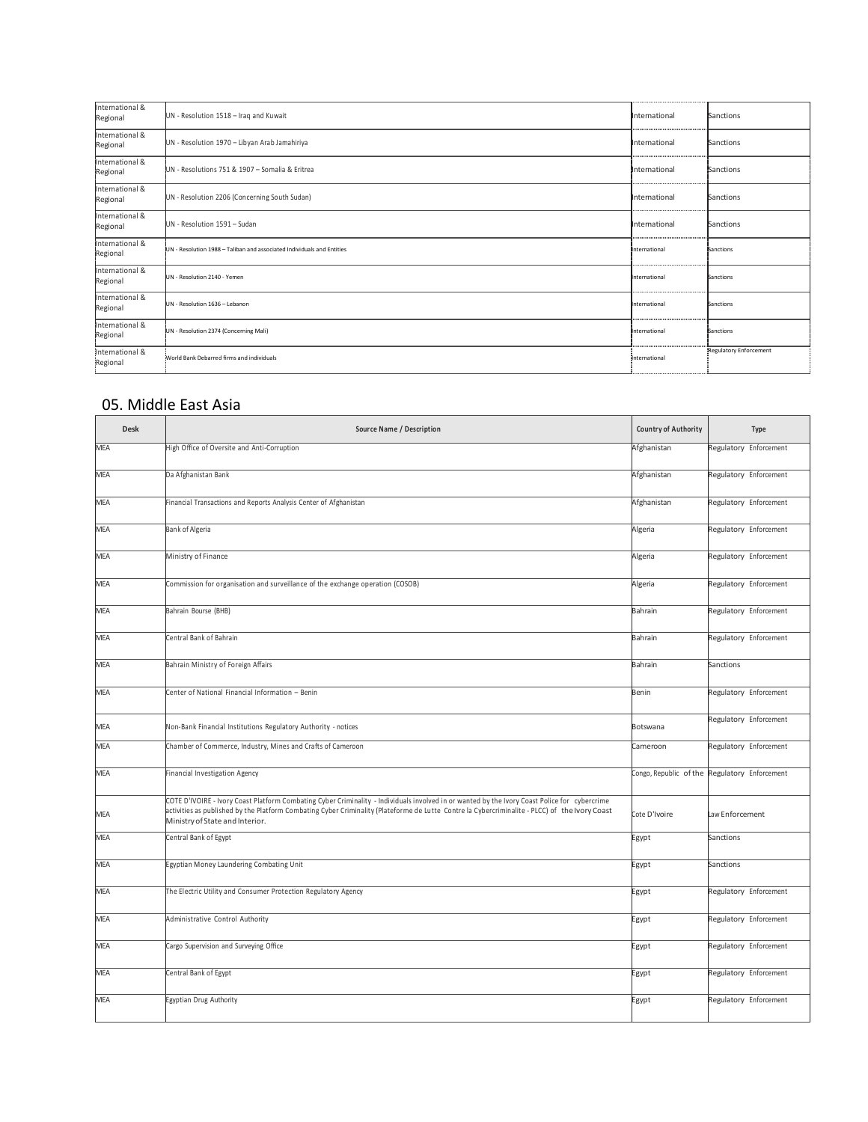| International &<br>Regional | UN - Resolution 1518 - Iraq and Kuwait                                 | International     | Sanctions                     |
|-----------------------------|------------------------------------------------------------------------|-------------------|-------------------------------|
| International &<br>Regional | UN - Resolution 1970 - Libyan Arab Jamahiriya                          | International     | Sanctions                     |
| International &<br>Regional | UN - Resolutions 751 & 1907 - Somalia & Eritrea                        | International     | Sanctions                     |
| International &<br>Regional | UN - Resolution 2206 (Concerning South Sudan)                          | <br>International | Sanctions                     |
| International &<br>Regional | UN - Resolution 1591 - Sudan                                           | <br>International | Sanctions                     |
| International &<br>Regional | UN - Resolution 1988 - Taliban and associated Individuals and Entities | International     | Sanctions                     |
| International &<br>Regional | UN - Resolution 2140 - Yemen                                           | International     | Sanctions                     |
| International &<br>Regional | UN - Resolution 1636 - Lebanon                                         | International     | Sanctions                     |
| International &<br>Regional | UN - Resolution 2374 (Concerning Mali)                                 | International     | Sanctions                     |
| International &<br>Regional | World Bank Debarred firms and individuals                              | <br>international | <b>Regulatory Enforcement</b> |

### 05. Middle East Asia

| <b>Desk</b> | Source Name / Description                                                                                                                                                                                                                                                                                                          | Country of Authority | Type                                          |
|-------------|------------------------------------------------------------------------------------------------------------------------------------------------------------------------------------------------------------------------------------------------------------------------------------------------------------------------------------|----------------------|-----------------------------------------------|
| <b>MEA</b>  | High Office of Oversite and Anti-Corruption                                                                                                                                                                                                                                                                                        | Afghanistan          | Regulatory Enforcement                        |
| MEA         | Da Afghanistan Bank                                                                                                                                                                                                                                                                                                                | Afghanistan          | Regulatory Enforcement                        |
| <b>MEA</b>  | Financial Transactions and Reports Analysis Center of Afghanistan                                                                                                                                                                                                                                                                  | Afghanistan          | Regulatory Enforcement                        |
| MEA         | Bank of Algeria                                                                                                                                                                                                                                                                                                                    | Algeria              | Regulatory Enforcement                        |
| MEA         | Ministry of Finance                                                                                                                                                                                                                                                                                                                | Algeria              | Regulatory Enforcement                        |
| <b>MEA</b>  | Commission for organisation and surveillance of the exchange operation (COSOB)                                                                                                                                                                                                                                                     | Algeria              | Regulatory Enforcement                        |
| MEA         | Bahrain Bourse (BHB)                                                                                                                                                                                                                                                                                                               | Bahrain              | Regulatory Enforcement                        |
| <b>MEA</b>  | Central Bank of Bahrain                                                                                                                                                                                                                                                                                                            | Bahrain              | Regulatory Enforcement                        |
| MEA         | Bahrain Ministry of Foreign Affairs                                                                                                                                                                                                                                                                                                | Bahrain              | Sanctions                                     |
| <b>MEA</b>  | Center of National Financial Information - Benin                                                                                                                                                                                                                                                                                   | Benin                | Regulatory Enforcement                        |
| <b>MEA</b>  | Non-Bank Financial Institutions Regulatory Authority - notices                                                                                                                                                                                                                                                                     | Botswana             | Regulatory Enforcement                        |
| <b>MEA</b>  | Chamber of Commerce, Industry, Mines and Crafts of Cameroon                                                                                                                                                                                                                                                                        | Cameroon             | Regulatory Enforcement                        |
| <b>MEA</b>  | Financial Investigation Agency                                                                                                                                                                                                                                                                                                     |                      | Congo, Republic of the Regulatory Enforcement |
| <b>MEA</b>  | COTE D'IVOIRE - Ivory Coast Platform Combating Cyber Criminality - Individuals involved in or wanted by the Ivory Coast Police for cybercrime<br>activities as published by the Platform Combating Cyber Criminality (Plateforme de Lutte Contre la Cybercriminalite - PLCC) of the Ivory Coast<br>Ministry of State and Interior. | Cote D'Ivoire        | Law Enforcement                               |
| MEA         | Central Bank of Egypt                                                                                                                                                                                                                                                                                                              | Egypt                | Sanctions                                     |
| <b>MEA</b>  | Egyptian Money Laundering Combating Unit                                                                                                                                                                                                                                                                                           | Egypt                | Sanctions                                     |
| <b>MEA</b>  | The Electric Utility and Consumer Protection Regulatory Agency                                                                                                                                                                                                                                                                     | Egypt                | Regulatory Enforcement                        |
| <b>MEA</b>  | Administrative Control Authority                                                                                                                                                                                                                                                                                                   | Egypt                | Regulatory Enforcement                        |
| <b>MEA</b>  | Cargo Supervision and Surveying Office                                                                                                                                                                                                                                                                                             | Egypt                | Regulatory Enforcement                        |
| <b>MEA</b>  | Central Bank of Egypt                                                                                                                                                                                                                                                                                                              | Egypt                | Regulatory Enforcement                        |
| <b>MEA</b>  | Egyptian Drug Authority                                                                                                                                                                                                                                                                                                            | Egypt                | Regulatory Enforcement                        |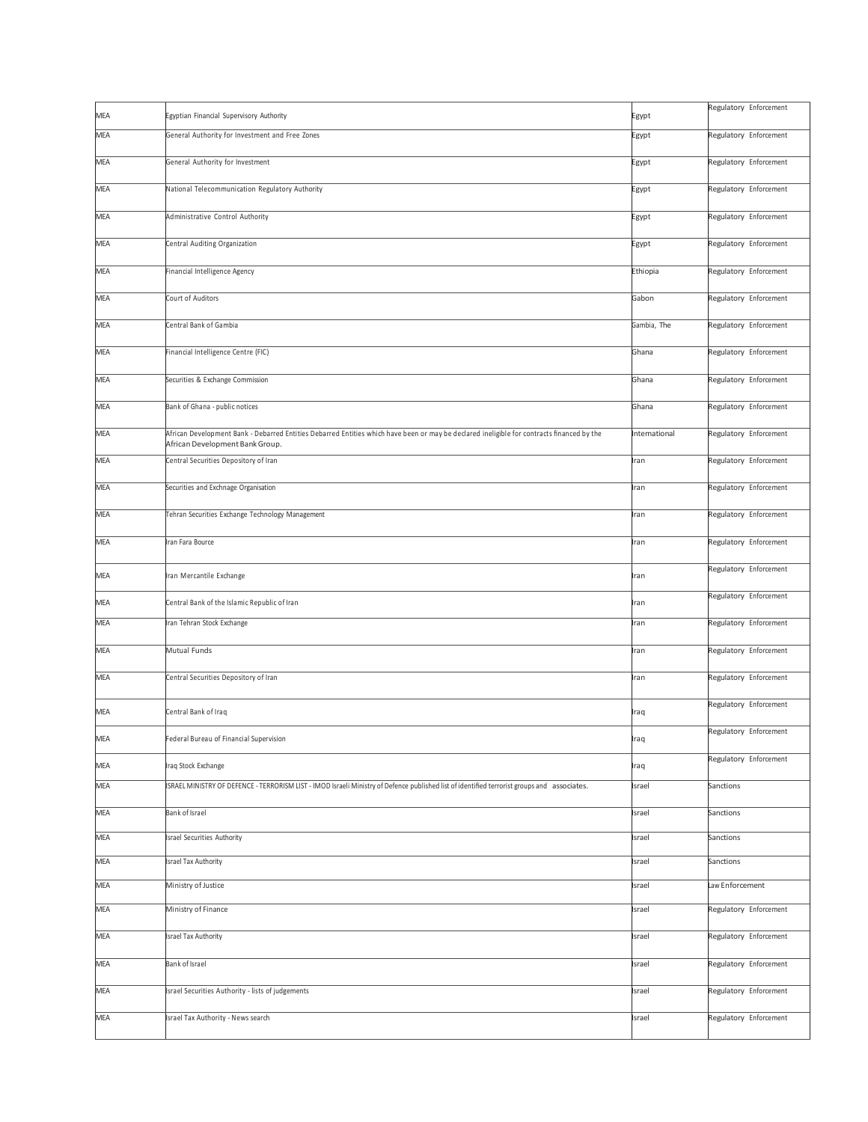| MEA        | Egyptian Financial Supervisory Authority                                                                                                                                      | Egypt         | Regulatory Enforcement |
|------------|-------------------------------------------------------------------------------------------------------------------------------------------------------------------------------|---------------|------------------------|
| MEA        | General Authority for Investment and Free Zones                                                                                                                               | Egypt         | Regulatory Enforcement |
| MEA        | General Authority for Investment                                                                                                                                              | Egypt         | Regulatory Enforcement |
| MEA        | National Telecommunication Regulatory Authority                                                                                                                               | Egypt         | Regulatory Enforcement |
| MEA        | Administrative Control Authority                                                                                                                                              | Egypt         | Regulatory Enforcement |
| MEA        | Central Auditing Organization                                                                                                                                                 | Egypt         | Regulatory Enforcement |
| MEA        | Financial Intelligence Agency                                                                                                                                                 | Ethiopia      | Regulatory Enforcement |
| MEA        | Court of Auditors                                                                                                                                                             | Gabon         | Regulatory Enforcement |
| MEA        | Central Bank of Gambia                                                                                                                                                        | Gambia, The   | Regulatory Enforcement |
| MEA        | Financial Intelligence Centre (FIC)                                                                                                                                           | Ghana         | Regulatory Enforcement |
| MEA        | Securities & Exchange Commission                                                                                                                                              | Ghana         | Regulatory Enforcement |
| MEA        | Bank of Ghana - public notices                                                                                                                                                | Ghana         | Regulatory Enforcement |
| MEA        | African Development Bank - Debarred Entities Debarred Entities which have been or may be declared ineligible for contracts financed by the<br>African Development Bank Group. | International | Regulatory Enforcement |
| MEA        | Central Securities Depository of Iran                                                                                                                                         | Iran          | Regulatory Enforcement |
| MEA        | Securities and Exchnage Organisation                                                                                                                                          | Iran          | Regulatory Enforcement |
| MEA        | Tehran Securities Exchange Technology Management                                                                                                                              | Iran          | Regulatory Enforcement |
| MEA        | Iran Fara Bource                                                                                                                                                              | Iran          | Regulatory Enforcement |
| MEA        | Iran Mercantile Exchange                                                                                                                                                      | Iran          | Regulatory Enforcement |
| MEA        | Central Bank of the Islamic Republic of Iran                                                                                                                                  | Iran          | Regulatory Enforcement |
| MEA        | Iran Tehran Stock Exchange                                                                                                                                                    | Iran          | Regulatory Enforcement |
| MEA        | Mutual Funds                                                                                                                                                                  | Iran          | Regulatory Enforcement |
| MEA        | Central Securities Depository of Iran                                                                                                                                         | Iran          | Regulatory Enforcement |
| MEA        | Central Bank of Iraq                                                                                                                                                          | Iraq          | Regulatory Enforcement |
| <b>MEA</b> | Federal Bureau of Financial Supervision                                                                                                                                       | Iraq          | Regulatory Enforcement |
| MEA        | Iraq Stock Exchange                                                                                                                                                           | Iraq          | Regulatory Enforcement |
| MEA        | ISRAEL MINISTRY OF DEFENCE - TERRORISM LIST - IMOD Israeli Ministry of Defence published list of identified terrorist groups and associates.                                  | Israel        | Sanctions              |
| MEA        | Bank of Israel                                                                                                                                                                | Israel        | Sanctions              |
| MEA        | Israel Securities Authority                                                                                                                                                   | Israel        | Sanctions              |
| MEA        | Israel Tax Authority                                                                                                                                                          | Israel        | Sanctions              |
| MEA        | Ministry of Justice                                                                                                                                                           | Israel        | Law Enforcement        |
| MEA        | Ministry of Finance                                                                                                                                                           | Israel        | Regulatory Enforcement |
| MEA        | Israel Tax Authority                                                                                                                                                          | Israel        | Regulatory Enforcement |
| MEA        | Bank of Israel                                                                                                                                                                | Israel        | Regulatory Enforcement |
| MEA        | Israel Securities Authority - lists of judgements                                                                                                                             | Israel        | Regulatory Enforcement |
| MEA        | Israel Tax Authority - News search                                                                                                                                            | Israel        | Regulatory Enforcement |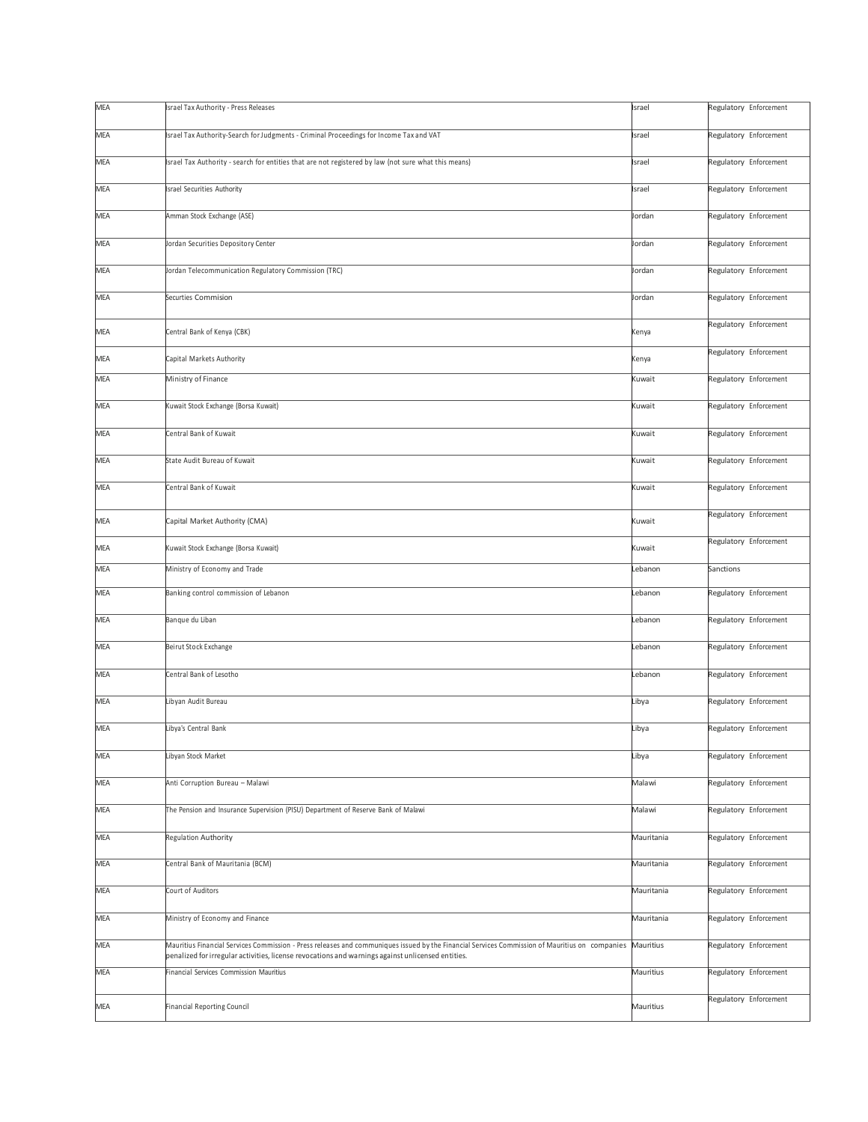| <b>MEA</b> | Israel Tax Authority - Press Releases                                                                                                                                                                                                               | Israel     | Regulatory Enforcement |
|------------|-----------------------------------------------------------------------------------------------------------------------------------------------------------------------------------------------------------------------------------------------------|------------|------------------------|
| MEA        | Israel Tax Authority-Search for Judgments - Criminal Proceedings for Income Tax and VAT                                                                                                                                                             | Israel     | Regulatory Enforcement |
| MEA        | Israel Tax Authority - search for entities that are not registered by law (not sure what this means)                                                                                                                                                | Israel     | Regulatory Enforcement |
| MEA        | Israel Securities Authority                                                                                                                                                                                                                         | Israel     | Regulatory Enforcement |
| <b>MEA</b> | Amman Stock Exchange (ASE)                                                                                                                                                                                                                          | Jordan     | Regulatory Enforcement |
| MEA        | Jordan Securities Depository Center                                                                                                                                                                                                                 | Jordan     | Regulatory Enforcement |
| MEA        | Jordan Telecommunication Regulatory Commission (TRC)                                                                                                                                                                                                | Jordan     | Regulatory Enforcement |
| MEA        | Securties Commision                                                                                                                                                                                                                                 | Jordan     | Regulatory Enforcement |
| MEA        | Central Bank of Kenya (CBK)                                                                                                                                                                                                                         | Kenya      | Regulatory Enforcement |
| MEA        | Capital Markets Authority                                                                                                                                                                                                                           | Kenya      | Regulatory Enforcement |
| MEA        | Ministry of Finance                                                                                                                                                                                                                                 | Kuwait     | Regulatory Enforcement |
| MEA        | Kuwait Stock Exchange (Borsa Kuwait)                                                                                                                                                                                                                | Kuwait     | Regulatory Enforcement |
| <b>MEA</b> | Central Bank of Kuwait                                                                                                                                                                                                                              | Kuwait     | Regulatory Enforcement |
| MEA        | State Audit Bureau of Kuwait                                                                                                                                                                                                                        | Kuwait     | Regulatory Enforcement |
| <b>MEA</b> | Central Bank of Kuwait                                                                                                                                                                                                                              | Kuwait     | Regulatory Enforcement |
| MEA        | Capital Market Authority (CMA)                                                                                                                                                                                                                      | Kuwait     | Regulatory Enforcement |
| MEA        | Kuwait Stock Exchange (Borsa Kuwait)                                                                                                                                                                                                                | Kuwait     | Regulatory Enforcement |
|            |                                                                                                                                                                                                                                                     |            |                        |
| MEA        | Ministry of Economy and Trade                                                                                                                                                                                                                       | Lebanon    | Sanctions              |
| MEA        | Banking control commission of Lebanon                                                                                                                                                                                                               | Lebanon    | Regulatory Enforcement |
| MEA        | Banque du Liban                                                                                                                                                                                                                                     | Lebanon    | Regulatory Enforcement |
| MEA        | Beirut Stock Exchange                                                                                                                                                                                                                               | Lebanon    | Regulatory Enforcement |
| MEA        | Central Bank of Lesotho                                                                                                                                                                                                                             | Lebanon    | Regulatory Enforcement |
| MEA        | Libyan Audit Bureau                                                                                                                                                                                                                                 | Libya      | Regulatory Enforcement |
| MEA        | Libya's Central Bank                                                                                                                                                                                                                                | Libya      | Regulatory Enforcement |
| MEA        | Libyan Stock Market                                                                                                                                                                                                                                 | Libya      | Regulatory Enforcement |
| MEA        | Anti Corruption Bureau - Malawi                                                                                                                                                                                                                     | Malawi     | Regulatory Enforcement |
| MEA        | The Pension and Insurance Supervision (PISU) Department of Reserve Bank of Malawi                                                                                                                                                                   | Malawi     | Regulatory Enforcement |
| <b>MEA</b> | Regulation Authority                                                                                                                                                                                                                                | Mauritania | Regulatory Enforcement |
| MEA        | Central Bank of Mauritania (BCM)                                                                                                                                                                                                                    | Mauritania | Regulatory Enforcement |
| MEA        | Court of Auditors                                                                                                                                                                                                                                   | Mauritania | Regulatory Enforcement |
| MEA        | Ministry of Economy and Finance                                                                                                                                                                                                                     | Mauritania | Regulatory Enforcement |
| <b>MEA</b> | Mauritius Financial Services Commission - Press releases and communiques issued by the Financial Services Commission of Mauritius on companies<br>penalized for irregular activities, license revocations and warnings against unlicensed entities. | Mauritius  | Regulatory Enforcement |
| <b>MEA</b> | Financial Services Commission Mauritius                                                                                                                                                                                                             | Mauritius  | Regulatory Enforcement |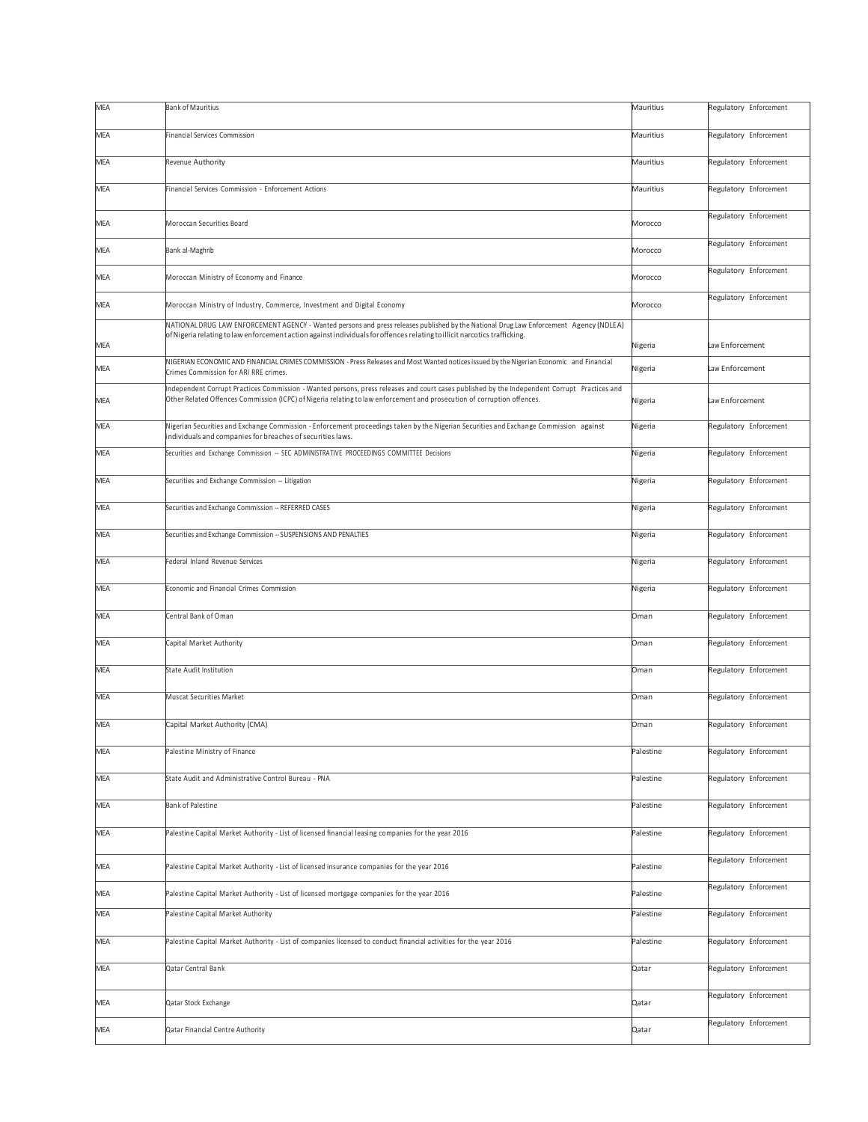| MEA               | <b>Bank of Mauritius</b>                                                                                                                                                                                                                                                | Mauritius          | Regulatory Enforcement |
|-------------------|-------------------------------------------------------------------------------------------------------------------------------------------------------------------------------------------------------------------------------------------------------------------------|--------------------|------------------------|
| <b>MEA</b>        | Financial Services Commission                                                                                                                                                                                                                                           | Mauritius          | Regulatory Enforcement |
| MEA               | Revenue Authority                                                                                                                                                                                                                                                       | Mauritius          | Regulatory Enforcement |
| MEA               | Financial Services Commission - Enforcement Actions                                                                                                                                                                                                                     | Mauritius          | Regulatory Enforcement |
| MEA               | Moroccan Securities Board                                                                                                                                                                                                                                               | Morocco            | Regulatory Enforcement |
| MEA               | Bank al-Maghrib                                                                                                                                                                                                                                                         | Morocco            | Regulatory Enforcement |
| MEA               | Moroccan Ministry of Economy and Finance                                                                                                                                                                                                                                | Morocco            | Regulatory Enforcement |
| MEA               | Moroccan Ministry of Industry, Commerce, Investment and Digital Economy                                                                                                                                                                                                 | Morocco            | Regulatory Enforcement |
|                   | NATIONAL DRUG LAW ENFORCEMENT AGENCY - Wanted persons and press releases published by the National Drug Law Enforcement Agency (NDLEA)<br>of Nigeria relating to law enforcement action against individuals for offences relating to illicit narcotics trafficking.     |                    | Law Enforcement        |
| MEA<br><b>MEA</b> | NIGERIAN ECONOMIC AND FINANCIAL CRIMES COMMISSION - Press Releases and Most Wanted notices issued by the Nigerian Economic and Financial<br>Crimes Commission for ARI RRE crimes.                                                                                       | Nigeria<br>Nigeria | Law Enforcement        |
|                   | Independent Corrupt Practices Commission - Wanted persons, press releases and court cases published by the Independent Corrupt Practices and<br>Other Related Offences Commission (ICPC) of Nigeria relating to law enforcement and prosecution of corruption offences. |                    | Law Enforcement        |
| MEA               |                                                                                                                                                                                                                                                                         | Nigeria            |                        |
| MEA               | Nigerian Securities and Exchange Commission - Enforcement proceedings taken by the Nigerian Securities and Exchange Commission against<br>individuals and companies for breaches of securities laws.                                                                    | Nigeria            | Regulatory Enforcement |
| <b>MEA</b>        | Securities and Exchange Commission -- SEC ADMINISTRATIVE PROCEEDINGS COMMITTEE Decisions                                                                                                                                                                                | Nigeria            | Regulatory Enforcement |
| MEA               | Securities and Exchange Commission -- Litigation                                                                                                                                                                                                                        | Nigeria            | Regulatory Enforcement |
| MEA               | Securities and Exchange Commission -- REFERRED CASES                                                                                                                                                                                                                    | Nigeria            | Regulatory Enforcement |
| MEA               | Securities and Exchange Commission -- SUSPENSIONS AND PENALTIES                                                                                                                                                                                                         | Nigeria            | Regulatory Enforcement |
| MEA               | Federal Inland Revenue Services                                                                                                                                                                                                                                         | Nigeria            | Regulatory Enforcement |
| MEA               | Economic and Financial Crimes Commission                                                                                                                                                                                                                                | Nigeria            | Regulatory Enforcement |
| MEA               | Central Bank of Oman                                                                                                                                                                                                                                                    | Oman               | Regulatory Enforcement |
| <b>MEA</b>        | Capital Market Authority                                                                                                                                                                                                                                                | Oman               | Regulatory Enforcement |
| MEA               | State Audit Institution                                                                                                                                                                                                                                                 | Oman               | Regulatory Enforcement |
| <b>MEA</b>        | Muscat Securities Market                                                                                                                                                                                                                                                | Oman               | Regulatory Enforcement |
| MEA               | Capital Market Authority (CMA)                                                                                                                                                                                                                                          | Oman               | Regulatory Enforcement |
| <b>MEA</b>        | Palestine Ministry of Finance                                                                                                                                                                                                                                           | Palestine          | Regulatory Enforcement |
| MEA               | State Audit and Administrative Control Bureau - PNA                                                                                                                                                                                                                     | Palestine          | Regulatory Enforcement |
| MEA               | <b>Bank of Palestine</b>                                                                                                                                                                                                                                                | Palestine          | Regulatory Enforcement |
| MEA               | Palestine Capital Market Authority - List of licensed financial leasing companies for the year 2016                                                                                                                                                                     | Palestine          | Regulatory Enforcement |
| MEA               | Palestine Capital Market Authority - List of licensed insurance companies for the year 2016                                                                                                                                                                             | Palestine          | Regulatory Enforcement |
| MEA               | Palestine Capital Market Authority - List of licensed mortgage companies for the year 2016                                                                                                                                                                              | Palestine          | Regulatory Enforcement |
| MEA               | Palestine Capital Market Authority                                                                                                                                                                                                                                      | Palestine          | Regulatory Enforcement |
| MEA               | Palestine Capital Market Authority - List of companies licensed to conduct financial activities for the year 2016                                                                                                                                                       | Palestine          | Regulatory Enforcement |
| MEA               | Qatar Central Bank                                                                                                                                                                                                                                                      | Qatar              | Regulatory Enforcement |
| MEA               | Qatar Stock Exchange                                                                                                                                                                                                                                                    | Qatar              | Regulatory Enforcement |
| MEA               | Qatar Financial Centre Authority                                                                                                                                                                                                                                        | Qatar              | Regulatory Enforcement |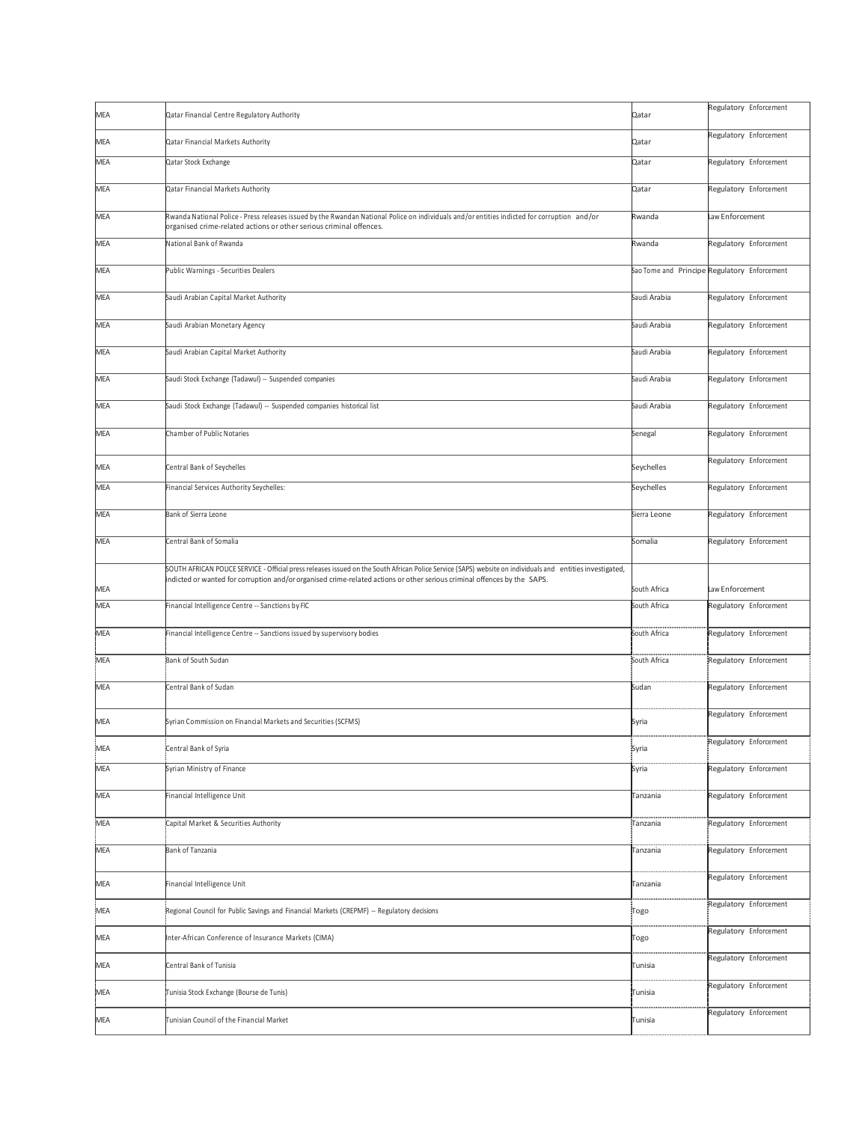| MEA        | Qatar Financial Centre Regulatory Authority                                                                                                                                                                                                                                            | Qatar        | Regulatory Enforcement                       |
|------------|----------------------------------------------------------------------------------------------------------------------------------------------------------------------------------------------------------------------------------------------------------------------------------------|--------------|----------------------------------------------|
| MEA        | Qatar Financial Markets Authority                                                                                                                                                                                                                                                      | Qatar        | Regulatory Enforcement                       |
| MEA        | Qatar Stock Exchange                                                                                                                                                                                                                                                                   | Qatar        | Regulatory Enforcement                       |
| MEA        | Qatar Financial Markets Authority                                                                                                                                                                                                                                                      | Qatar        | Regulatory Enforcement                       |
| MEA        | Rwanda National Police - Press releases issued by the Rwandan National Police on individuals and/or entities indicted for corruption and/or<br>organised crime-related actions or other serious criminal offences.                                                                     | Rwanda       | Law Enforcement                              |
| <b>MEA</b> | National Bank of Rwanda                                                                                                                                                                                                                                                                | Rwanda       | Regulatory Enforcement                       |
| <b>MEA</b> | Public Warnings - Securities Dealers                                                                                                                                                                                                                                                   |              | Sao Tome and Principe Regulatory Enforcement |
| MEA        | Saudi Arabian Capital Market Authority                                                                                                                                                                                                                                                 | Saudi Arabia | Regulatory Enforcement                       |
| MEA        | Saudi Arabian Monetary Agency                                                                                                                                                                                                                                                          | Saudi Arabia | Regulatory Enforcement                       |
| MEA        | Saudi Arabian Capital Market Authority                                                                                                                                                                                                                                                 | Saudi Arabia | Regulatory Enforcement                       |
| <b>MEA</b> | Saudi Stock Exchange (Tadawul) -- Suspended companies                                                                                                                                                                                                                                  | Saudi Arabia | Regulatory Enforcement                       |
| MEA        | Saudi Stock Exchange (Tadawul) -- Suspended companies historical list                                                                                                                                                                                                                  | Saudi Arabia | Regulatory Enforcement                       |
| MEA        | Chamber of Public Notaries                                                                                                                                                                                                                                                             | Senegal      | Regulatory Enforcement                       |
| MEA        | Central Bank of Seychelles                                                                                                                                                                                                                                                             | Seychelles   | Regulatory Enforcement                       |
| MEA        | Financial Services Authority Seychelles:                                                                                                                                                                                                                                               | Seychelles   | Regulatory Enforcement                       |
| MEA        | Bank of Sierra Leone                                                                                                                                                                                                                                                                   | Sierra Leone | Regulatory Enforcement                       |
| MEA        | Central Bank of Somalia                                                                                                                                                                                                                                                                | Somalia      | Regulatory Enforcement                       |
| MEA        | SOUTH AFRICAN POLICE SERVICE - Official press releases issued on the South African Police Service (SAPS) website on individuals and entities investigated,<br>indicted or wanted for corruption and/or organised crime-related actions or other serious criminal offences by the SAPS. | South Africa | Law Enforcement                              |
| MEA        | Financial Intelligence Centre -- Sanctions by FIC                                                                                                                                                                                                                                      | South Africa | Regulatory Enforcement                       |
| MEA        | Financial Intelligence Centre -- Sanctions issued by supervisory bodies                                                                                                                                                                                                                | South Africa | Regulatory Enforcement                       |
| MEA        | Bank of South Sudan                                                                                                                                                                                                                                                                    | South Africa | Regulatory Enforcement                       |
| MEA        | Central Bank of Sudan                                                                                                                                                                                                                                                                  | Sudan        | Regulatory Enforcement                       |
| MEA        | Syrian Commission on Financial Markets and Securities (SCFMS)                                                                                                                                                                                                                          | Syria        | Regulatory Enforcement                       |
| MEA        | Central Bank of Syria                                                                                                                                                                                                                                                                  | Syria        | Regulatory Enforcement                       |
| MEA        | vrian Ministry of Finance                                                                                                                                                                                                                                                              | Syria        | Regulatory Enforcement                       |
| MEA        | Financial Intelligence Unit                                                                                                                                                                                                                                                            | Tanzania     | Regulatory Enforcement                       |
| MEA        | Capital Market & Securities Authority                                                                                                                                                                                                                                                  | Tanzania     | Regulatory Enforcement                       |
| MEA        | Bank of Tanzania                                                                                                                                                                                                                                                                       | Tanzania     | Regulatory Enforcement                       |
| MEA        | Financial Intelligence Unit                                                                                                                                                                                                                                                            | Tanzania     | Regulatory Enforcement                       |
| MEA        | Regional Council for Public Savings and Financial Markets (CREPMF) -- Regulatory decisions                                                                                                                                                                                             | :Togo        | Regulatory Enforcement                       |
| MEA        | Inter-African Conference of Insurance Markets (CIMA)                                                                                                                                                                                                                                   | Togo         | Regulatory Enforcement                       |
| MEA        | Central Bank of Tunisia                                                                                                                                                                                                                                                                | Tunisia      | Regulatory Enforcement                       |
| MEA        | Tunisia Stock Exchange (Bourse de Tunis)                                                                                                                                                                                                                                               | Tunisia      | Regulatory Enforcement                       |
| MEA        | Tunisian Council of the Financial Market                                                                                                                                                                                                                                               | Tunisia      | Regulatory Enforcement                       |